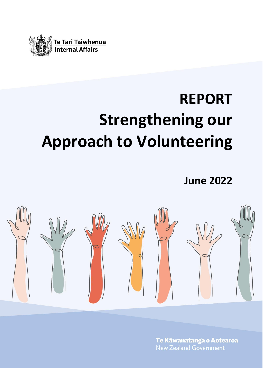

# **REPORT Strengthening our Approach to Volunteering**

**June 2022**



Te Kāwanatanga o Aotearoa **New Zealand Government**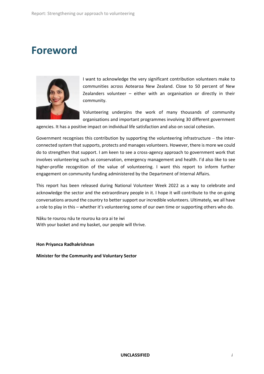### **Foreword**



I want to acknowledge the very significant contribution volunteers make to communities across Aotearoa New Zealand. Close to 50 percent of New Zealanders volunteer – either with an organisation or directly in their community.

Volunteering underpins the work of many thousands of community organisations and important programmes involving 30 different government

agencies. It has a positive impact on individual life satisfaction and also on social cohesion.

Government recognises this contribution by supporting the volunteering infrastructure – the interconnected system that supports, protects and manages volunteers. However, there is more we could do to strengthen that support. I am keen to see a cross-agency approach to government work that involves volunteering such as conservation, emergency management and health. I'd also like to see higher-profile recognition of the value of volunteering. I want this report to inform further engagement on community funding administered by the Department of Internal Affairs.

This report has been released during National Volunteer Week 2022 as a way to celebrate and acknowledge the sector and the extraordinary people in it. I hope it will contribute to the on-going conversations around the country to better support our incredible volunteers. Ultimately, we all have a role to play in this – whether it's volunteering some of our own time or supporting others who do.

Nāku te rourou nāu te rourou ka ora ai te iwi With your basket and my basket, our people will thrive.

#### **Hon Priyanca Radhakrishnan**

**Minister for the Community and Voluntary Sector**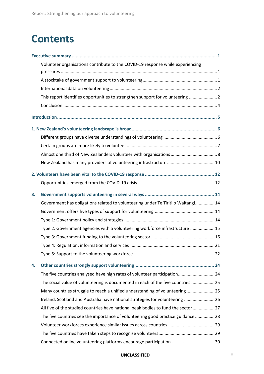### **Contents**

|    | Volunteer organisations contribute to the COVID-19 response while experiencing    |  |
|----|-----------------------------------------------------------------------------------|--|
|    |                                                                                   |  |
|    |                                                                                   |  |
|    | This report identifies opportunities to strengthen support for volunteering  2    |  |
|    |                                                                                   |  |
|    |                                                                                   |  |
|    |                                                                                   |  |
|    |                                                                                   |  |
|    |                                                                                   |  |
|    |                                                                                   |  |
|    |                                                                                   |  |
|    |                                                                                   |  |
|    |                                                                                   |  |
|    |                                                                                   |  |
|    |                                                                                   |  |
| 3. | Government has obligations related to volunteering under Te Tiriti o Waitangi 14  |  |
|    |                                                                                   |  |
|    |                                                                                   |  |
|    | Type 2: Government agencies with a volunteering workforce infrastructure  15      |  |
|    |                                                                                   |  |
|    |                                                                                   |  |
|    |                                                                                   |  |
|    |                                                                                   |  |
| 4. |                                                                                   |  |
|    | The five countries analysed have high rates of volunteer participation 24         |  |
|    | The social value of volunteering is documented in each of the five countries 25   |  |
|    | Many countries struggle to reach a unified understanding of volunteering 25       |  |
|    | Ireland, Scotland and Australia have national strategies for volunteering  26     |  |
|    | All five of the studied countries have national peak bodies to fund the sector 27 |  |
|    | The five countries see the importance of volunteering good practice guidance 28   |  |
|    |                                                                                   |  |
|    |                                                                                   |  |
|    | Connected online volunteering platforms encourage participation 30                |  |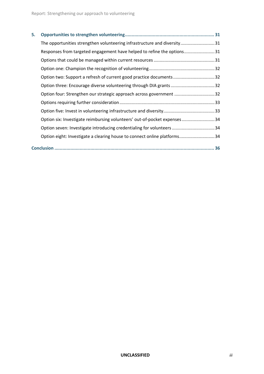| 5. |                                                                          |  |
|----|--------------------------------------------------------------------------|--|
|    | The opportunities strengthen volunteering infrastructure and diversity31 |  |
|    | Responses from targeted engagement have helped to refine the options31   |  |
|    |                                                                          |  |
|    |                                                                          |  |
|    | Option two: Support a refresh of current good practice documents32       |  |
|    | Option three: Encourage diverse volunteering through DIA grants 32       |  |
|    | Option four: Strengthen our strategic approach across government 32      |  |
|    |                                                                          |  |
|    |                                                                          |  |
|    | Option six: Investigate reimbursing volunteers' out-of-pocket expenses34 |  |
|    | Option seven: Investigate introducing credentialing for volunteers  34   |  |
|    | Option eight: Investigate a clearing house to connect online platforms34 |  |
|    |                                                                          |  |
|    |                                                                          |  |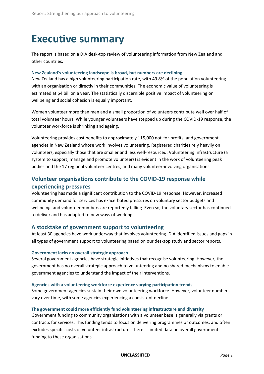### <span id="page-4-0"></span>**Executive summary**

The report is based on a DIA desk-top review of volunteering information from New Zealand and other countries.

#### **New Zealand's volunteering landscape is broad, but numbers are declining**

New Zealand has a high volunteering participation rate, with 49.8% of the population volunteering with an organisation or directly in their communities. The economic value of volunteering is estimated at \$4 billion a year. The statistically discernible positive impact of volunteering on wellbeing and social cohesion is equally important.

Women volunteer more than men and a small proportion of volunteers contribute well over half of total volunteer hours. While younger volunteers have stepped up during the COVID-19 response, the volunteer workforce is shrinking and ageing.

Volunteering provides cost benefits to approximately 115,000 not-for-profits, and government agencies in New Zealand whose work involves volunteering. Registered charities rely heavily on volunteers, especially those that are smaller and less well-resourced. Volunteering infrastructure (a system to support, manage and promote volunteers) is evident in the work of volunteering peak bodies and the 17 regional volunteer centres, and many volunteer-involving organisations.

#### <span id="page-4-1"></span>**Volunteer organisations contribute to the COVID-19 response while experiencing pressures**

Volunteering has made a significant contribution to the COVID-19 response. However, increased community demand for services has exacerbated pressures on voluntary sector budgets and wellbeing, and volunteer numbers are reportedly falling. Even so, the voluntary sector has continued to deliver and has adapted to new ways of working.

#### <span id="page-4-2"></span>**A stocktake of government support to volunteering**

At least 30 agencies have work underway that involves volunteering. DIA identified issues and gaps in all types of government support to volunteering based on our desktop study and sector reports.

#### **Government lacks an overall strategic approach**

Several government agencies have strategic initiatives that recognise volunteering. However, the government has no overall strategic approach to volunteering and no shared mechanisms to enable government agencies to understand the impact of their interventions.

#### **Agencies with a volunteering workforce experience varying participation trends**

Some government agencies sustain their own volunteering workforce. However, volunteer numbers vary over time, with some agencies experiencing a consistent decline.

#### **The government could more efficiently fund volunteering infrastructure and diversity**

Government funding to community organisations with a volunteer base is generally via grants or contracts for services. This funding tends to focus on delivering programmes or outcomes, and often excludes specific costs of volunteer infrastructure. There is limited data on overall government funding to these organisations.

**UNCLASSIFIED** *Page 1*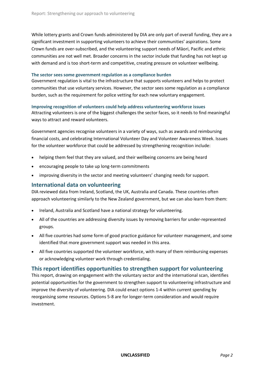While lottery grants and Crown funds administered by DIA are only part of overall funding, they are a significant investment in supporting volunteers to achieve their communities' aspirations. Some Crown funds are over-subscribed, and the volunteering support needs of Māori, Pacific and ethnic communities are not well met. Broader concerns in the sector include that funding has not kept up with demand and is too short-term and competitive, creating pressure on volunteer wellbeing.

#### **The sector sees some government regulation as a compliance burden**

Government regulation is vital to the infrastructure that supports volunteers and helps to protect communities that use voluntary services. However, the sector sees some regulation as a compliance burden, such as the requirement for police vetting for each new voluntary engagement.

#### **Improving recognition of volunteers could help address volunteering workforce issues**

Attracting volunteers is one of the biggest challenges the sector faces, so it needs to find meaningful ways to attract and reward volunteers.

Government agencies recognise volunteers in a variety of ways, such as awards and reimbursing financial costs, and celebrating International Volunteer Day and Volunteer Awareness Week. Issues for the volunteer workforce that could be addressed by strengthening recognition include:

- helping them feel that they are valued, and their wellbeing concerns are being heard
- encouraging people to take up long-term commitments
- improving diversity in the sector and meeting volunteers' changing needs for support.

#### <span id="page-5-0"></span>**International data on volunteering**

DIA reviewed data from Ireland, Scotland, the UK, Australia and Canada. These countries often approach volunteering similarly to the New Zealand government, but we can also learn from them:

- Ireland, Australia and Scotland have a national strategy for volunteering.
- All of the countries are addressing diversity issues by removing barriers for under-represented groups.
- All five countries had some form of good practice guidance for volunteer management, and some identified that more government support was needed in this area.
- All five countries supported the volunteer workforce, with many of them reimbursing expenses or acknowledging volunteer work through credentialing.

#### <span id="page-5-1"></span>**This report identifies opportunities to strengthen support for volunteering**

This report, drawing on engagement with the voluntary sector and the international scan, identifies potential opportunities for the government to strengthen support to volunteering infrastructure and improve the diversity of volunteering. DIA could enact options 1-4 within current spending by reorganising some resources. Options 5-8 are for longer-term consideration and would require investment.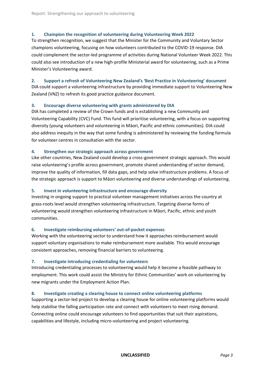#### **1. Champion the recognition of volunteering during Volunteering Week 2022**

To strengthen recognition, we suggest that the Minister for the Community and Voluntary Sector champions volunteering, focusing on how volunteers contributed to the COVID-19 response. DIA could complement the sector-led programme of activities during National Volunteer Week 2022. This could also see introduction of a new high-profile Ministerial award for volunteering, such as a Prime Minister's Volunteering award.

#### **2. Support a refresh of Volunteering New Zealand's 'Best Practice in Volunteering' document**

DIA could support a volunteering infrastructure by providing immediate support to Volunteering New Zealand (VNZ) to refresh its good practice guidance document.

#### **3. Encourage diverse volunteering with grants administered by DIA**

DIA has completed a review of the Crown funds and is establishing a new Community and Volunteering Capability (CVC) Fund. This fund will prioritise volunteering, with a focus on supporting diversity (young volunteers and volunteering in Māori, Pacific and ethnic communities). DIA could also address inequity in the way that some funding is administered by reviewing the funding formula for volunteer centres in consultation with the sector.

#### **4***.* **Strengthen our strategic approach across government**

Like other countries, New Zealand could develop a cross-government strategic approach. This would raise volunteering's profile across government, promote shared understanding of sector demand, improve the quality of information, fill data gaps, and help solve infrastructure problems. A focus of the strategic approach is support to Māori volunteering and diverse understandings of volunteering.

#### **5. Invest in volunteering infrastructure and encourage diversity**

Investing in ongoing support to practical volunteer management initiatives across the country at grass-roots level would strengthen volunteering infrastructure. Targeting diverse forms of volunteering would strengthen volunteering infrastructure in Māori, Pacific, ethnic and youth communities.

#### **6. Investigate reimbursing volunteers' out-of-pocket expenses**

Working with the volunteering sector to understand how it approaches reimbursement would support voluntary organisations to make reimbursement more available. This would encourage consistent approaches, removing financial barriers to volunteering.

#### **7. Investigate introducing credentialing for volunteers**

Introducing credentialing processes to volunteering would help it become a feasible pathway to employment. This work could assist the Ministry for Ethnic Communities' work on volunteering by new migrants under the Employment Action Plan.

#### **8. Investigate creating a clearing house to connect online volunteering platforms**

Supporting a sector-led project to develop a clearing house for online volunteering platforms would help stabilise the falling participation rate and connect with volunteers to meet rising demand. Connecting online could encourage volunteers to find opportunities that suit their aspirations, capabilities and lifestyle, including micro-volunteering and project volunteering.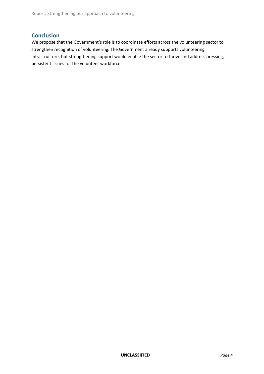#### <span id="page-7-0"></span>**Conclusion**

We propose that the Government's role is to coordinate efforts across the volunteering sector to strengthen recognition of volunteering. The Government already supports volunteering infrastructure, but strengthening support would enable the sector to thrive and address pressing, persistent issues for the volunteer workforce.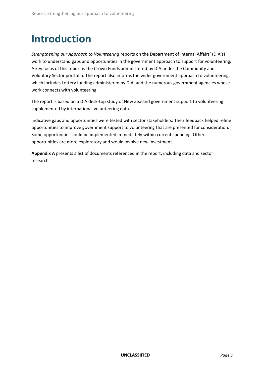## <span id="page-8-0"></span>**Introduction**

*Strengthening our Approach to Volunteering* reports on the Department of Internal Affairs' (DIA's) work to understand gaps and opportunities in the government approach to support for volunteering. A key focus of this report is the Crown Funds administered by DIA under the Community and Voluntary Sector portfolio. The report also informs the wider government approach to volunteering, which includes Lottery funding administered by DIA, and the numerous government agencies whose work connects with volunteering.

The report is based on a DIA desk-top study of New Zealand government support to volunteering supplemented by international volunteering data.

Indicative gaps and opportunities were tested with sector stakeholders. Their feedback helped refine opportunities to improve government support to volunteering that are presented for consideration. Some opportunities could be implemented immediately within current spending. Other opportunities are more exploratory and would involve new investment.

**Appendix A** presents a list of documents referenced in the report, including data and sector research.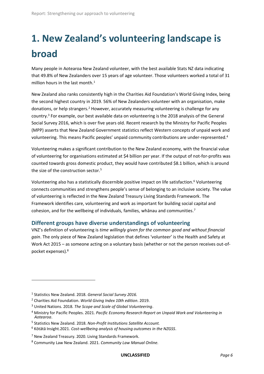# <span id="page-9-0"></span>**1. New Zealand's volunteering landscape is broad**

Many people in Aotearoa New Zealand volunteer, with the best available Stats NZ data indicating that 49.8% of New Zealanders over 15 years of age volunteer. Those volunteers worked a total of 31 million hours in the last month. 1

New Zealand also ranks consistently high in the Charities Aid Foundation's World Giving Index, being the second highest country in 2019. 56% of New Zealanders volunteer with an organisation, make donations, or help strangers.<sup>2</sup> However, accurately measuring volunteering is challenge for any country.<sup>3</sup> For example, our best available data on volunteering is the 2018 analysis of the General Social Survey 2016, which is over five years old. Recent research by the Ministry for Pacific Peoples (MPP) asserts that New Zealand Government statistics reflect Western concepts of unpaid work and volunteering. This means Pacific peoples' unpaid community contributions are under-represented.<sup>4</sup>

Volunteering makes a significant contribution to the New Zealand economy, with the financial value of volunteering for organisations estimated at \$4 billion per year. If the output of not-for-profits was counted towards gross domestic product, they would have contributed \$8.1 billion, which is around the size of the construction sector. 5

Volunteering also has a statistically discernible positive impact on life satisfaction. <sup>6</sup> Volunteering connects communities and strengthens people's sense of belonging to an inclusive society. The value of volunteering is reflected in the New Zealand Treasury Living Standards Framework. The Framework identifies care, volunteering and work as important for building social capital and cohesion, and for the wellbeing of individuals, families, whānau and communities.<sup>7</sup>

#### <span id="page-9-1"></span>**Different groups have diverse understandings of volunteering**

VNZ's definition of volunteering is *time willingly given for the common good and without financial gain*. The only piece of New Zealand legislation that defines 'volunteer' is the Health and Safety at Work Act 2015 – as someone acting on a voluntary basis (whether or not the person receives out-ofpocket expenses). 8

<sup>1</sup> Statistics New Zealand. 2018. *General Social Survey 2016.*

<sup>2</sup> Charities Aid Foundation. *World Giving Index 10th edition*. 2019.

<sup>3</sup> United Nations. 2018. *The Scope and Scale of Global Volunteering*.

<sup>4</sup> Ministry for Pacific Peoples. 2021. *Pacific Economy Research Report on Unpaid Work and Volunteering in Aotearoa*.

<sup>5</sup> Statistics New Zealand. 2018. *Non-Profit Institutions Satellite Account.*

<sup>6</sup> Kōtātā Insight.2021. *Cost-wellbeing analysis of housing outcomes in the NZGSS*.

<sup>7</sup> New Zealand Treasury. 2020. Living Standards Framework.

<sup>8</sup> Community Law New Zealand. 2021. *Community Law Manual Online.*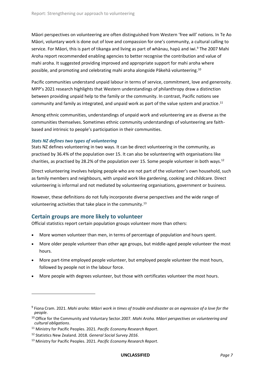Māori perspectives on volunteering are often distinguished from Western 'free will' notions. In Te Ao Māori, voluntary work is done out of love and compassion for one's community, a cultural calling to service. For Māori, this is part of tikanga and living as part of whānau, hapū and iwi.<sup>9</sup> The 2007 Mahi Aroha report recommended enabling agencies to better recognise the contribution and value of mahi aroha. It suggested providing improved and appropriate support for mahi aroha where possible, and promoting and celebrating mahi aroha alongside Pākehā volunteering.<sup>10</sup>

Pacific communities understand unpaid labour in terms of service, commitment, love and generosity. MPP's 2021 research highlights that Western understandings of philanthropy draw a distinction between providing unpaid help to the family or the community. In contrast, Pacific notions see community and family as integrated, and unpaid work as part of the value system and practice.<sup>11</sup>

Among ethnic communities, understandings of unpaid work and volunteering are as diverse as the communities themselves. Sometimes ethnic community understandings of volunteering are faithbased and intrinsic to people's participation in their communities.

#### *Stats NZ defines two types of volunteering*

Stats NZ defines volunteering in two ways. It can be direct volunteering in the community, as practised by 36.4% of the population over 15. It can also be volunteering with organisations like charities, as practised by 28.2% of the population over 15. Some people volunteer in both ways.<sup>12</sup>

Direct volunteering involves helping people who are not part of the volunteer's own household, such as family members and neighbours, with unpaid work like gardening, cooking and childcare. Direct volunteering is informal and not mediated by volunteering organisations, government or business.

However, these definitions do not fully incorporate diverse perspectives and the wide range of volunteering activities that take place in the community.<sup>13</sup>

#### <span id="page-10-0"></span>**Certain groups are more likely to volunteer**

Official statistics report certain population groups volunteer more than others:

- More women volunteer than men, in terms of percentage of population and hours spent.
- More older people volunteer than other age groups, but middle-aged people volunteer the most hours.
- More part-time employed people volunteer, but employed people volunteer the most hours, followed by people not in the labour force.
- More people with degrees volunteer, but those with certificates volunteer the most hours.

<sup>9</sup> Fiona Cram. 2021. *Mahi aroha: Māori work in times of trouble and disaster as an expression of a love for the people*.

<sup>10</sup> Office for the Community and Voluntary Sector.2007. *Mahi Aroha. Māori perspectives on volunteering and cultural obligations*.

<sup>11</sup> Ministry for Pacific Peoples. 2021. *Pacific Economy Research Report*.

<sup>12</sup> Statistics New Zealand. 2018. *General Social Survey 2016*.

<sup>13</sup> Ministry for Pacific Peoples. 2021. *Pacific Economy Research Report*.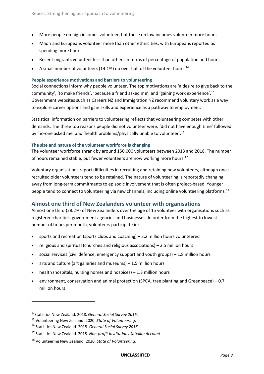- More people on high incomes volunteer, but those on low incomes volunteer more hours.
- Māori and Europeans volunteer more than other ethnicities, with Europeans reported as spending more hours.
- Recent migrants volunteer less than others in terms of percentage of population and hours.
- A small number of volunteers (14.1%) do over half of the volunteer hours.<sup>14</sup>

#### **People experience motivations and barriers to volunteering**

Social connections inform why people volunteer. The top motivations are 'a desire to give back to the community', 'to make friends', 'because a friend asked me', and 'gaining work experience'. 15 Government websites such as Careers NZ and Immigration NZ recommend voluntary work as a way to explore career options and gain skills and experience as a pathway to employment.

Statistical information on barriers to volunteering reflects that volunteering competes with other demands. The three top reasons people did not volunteer were: 'did not have enough time' followed by 'no-one asked me' and 'health problems/physically unable to volunteer'. 16

#### **The size and nature of the volunteer workforce is changing**

The volunteer workforce shrank by around 150,000 volunteers between 2013 and 2018. The number of hours remained stable, but fewer volunteers are now working more hours.<sup>17</sup>

Voluntary organisations report difficulties in recruiting and retaining new volunteers, although once recruited older volunteers tend to be retained. The nature of volunteering is reportedly changing away from long-term commitments to episodic involvement that is often project-based. Younger people tend to connect to volunteering via new channels, including online volunteering platforms.<sup>18</sup>

#### <span id="page-11-0"></span>**Almost one third of New Zealanders volunteer with organisations**

Almost one third (28.2%) of New Zealanders over the age of 15 volunteer with organisations such as registered charities, government agencies and businesses. In order from the highest to lowest number of hours per month, volunteers participate in:

- sports and recreation (sports clubs and coaching) 3.2 million hours volunteered
- religious and spiritual (churches and religious associations) 2.5 million hours
- social services (civil defence, emergency support and youth groups) 1.8 million hours
- $\bullet$  arts and culture (art galleries and museums) 1.5 million hours
- health (hospitals, nursing homes and hospices) 1.3 million hours
- environment, conservation and animal protection (SPCA, tree planting and Greenpeace) 0.7 million hours

<sup>14</sup>Statistics New Zealand. 2018. *General Social Survey 2016*.

<sup>15</sup> Volunteering New Zealand. 2020. *State of Volunteering*.

<sup>16</sup> Statistics New Zealand. 2018. *General Social Survey 2016*.

<sup>17</sup> Statistics New Zealand. 2018. *Non-profit Institutions Satellite Account*.

<sup>18</sup> Volunteering New Zealand. 2020. *State of Volunteering*.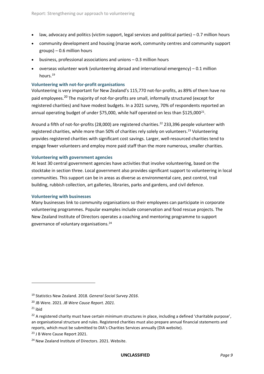- law, advocacy and politics (victim support, legal services and political parties) 0.7 million hours
- community development and housing (marae work, community centres and community support groups) – 0.6 million hours
- business, professional associations and unions 0.3 million hours
- overseas volunteer work (volunteering abroad and international emergency) 0.1 million hours.<sup>19</sup>

#### **Volunteering with not-for-profit organisations**

Volunteering is very important for New Zealand's 115,770 not-for-profits, as 89% of them have no paid employees.<sup>20</sup> The majority of not-for-profits are small, informally structured (except for registered charities) and have modest budgets. In a 2021 survey, 70% of respondents reported an annual operating budget of under \$75,000, while half operated on less than \$125,000<sup>21</sup>.

Around a fifth of not-for-profits (28,000) are registered charities.<sup>22</sup> 233,396 people volunteer with registered charities, while more than 50% of charities rely solely on volunteers.<sup>23</sup> Volunteering provides registered charities with significant cost savings. Larger, well-resourced charities tend to engage fewer volunteers and employ more paid staff than the more numerous, smaller charities.

#### **Volunteering with government agencies**

At least 30 central government agencies have activities that involve volunteering, based on the stocktake in section three. Local government also provides significant support to volunteering in local communities. This support can be in areas as diverse as environmental care, pest control, trail building, rubbish collection, art galleries, libraries, parks and gardens, and civil defence.

#### **Volunteering with businesses**

Many businesses link to community organisations so their employees can participate in corporate volunteering programmes. Popular examples include conservation and food rescue projects. The New Zealand Institute of Directors operates a coaching and mentoring programme to support governance of voluntary organisations.<sup>24</sup>

<sup>19</sup> Statistics New Zealand. 2018. *General Social Survey 2016*.

<sup>20</sup> JB Were. 2021. *JB Were Cause Report. 2021.*

 $21$  ibid

 $22$  A registered charity must have certain minimum structures in place, including a defined 'charitable purpose', an organisational structure and rules. Registered charities must also prepare annual financial statements and reports, which must be submitted to DIA's Charities Services annually (DIA website).

<sup>23</sup> J B Were Cause Report 2021.

<sup>24</sup> New Zealand Institute of Directors. 2021. Website.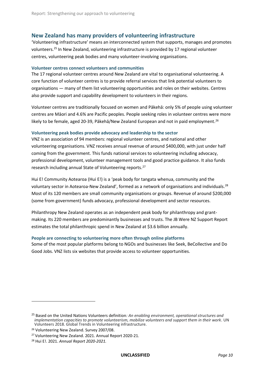#### <span id="page-13-0"></span>**New Zealand has many providers of volunteering infrastructure**

'Volunteering infrastructure' means an interconnected system that supports, manages and promotes volunteers.<sup>25</sup> In New Zealand, volunteering infrastructure is provided by 17 regional volunteer centres, volunteering peak bodies and many volunteer-involving organisations.

#### **Volunteer centres connect volunteers and communities**

The 17 regional volunteer centres around New Zealand are vital to organisational volunteering. A core function of volunteer centres is to provide referral services that link potential volunteers to organisations — many of them list volunteering opportunities and roles on their websites. Centres also provide support and capability development to volunteers in their regions.

Volunteer centres are traditionally focused on women and Pākehā: only 5% of people using volunteer centres are Māori and 4.6% are Pacific peoples. People seeking roles in volunteer centres were more likely to be female, aged 20-39, Pākehā/New Zealand European and not in paid employment.<sup>26</sup>

#### **Volunteering peak bodies provide advocacy and leadership to the sector**

VNZ is an association of 94 members: regional volunteer centres, and national and other volunteering organisations. VNZ receives annual revenue of around \$400,000, with just under half coming from the government. This funds national services to volunteering including advocacy, professional development, volunteer management tools and good practice guidance. It also funds research including annual State of Volunteering reports.<sup>27</sup>

Hui E! Community Aotearoa (Hui E!) is a 'peak body for tangata whenua, community and the voluntary sector in Aotearoa-New Zealand', formed as a network of organisations and individuals.<sup>28</sup> Most of its 120 members are small community organisations or groups. Revenue of around \$200,000 (some from government) funds advocacy, professional development and sector resources.

Philanthropy New Zealand operates as an independent peak body for philanthropy and grantmaking. Its 220 members are predominantly businesses and trusts. The JB Were NZ Support Report estimates the total philanthropic spend in New Zealand at \$3.6 billion annually.

#### **People are connecting to volunteering more often through online platforms**

Some of the most popular platforms belong to NGOs and businesses like Seek, BeCollective and Do Good Jobs. VNZ lists six websites that provide access to volunteer opportunities.

<sup>25</sup> Based on the United Nations Volunteers definition*: An enabling environment, operational structures and implementation capacities to promote volunteerism, mobilize volunteers and support them in their work.* UN Volunteers 2018. Global Trends in Volunteering infrastructure.

<sup>26</sup> Volunteering New Zealand. Survey 2007/08.

<sup>27</sup> Volunteering New Zealand. 2021. Annual Report 2020-21.

<sup>28</sup> Hui E!. 2021. *Annual Report 2020-2021.*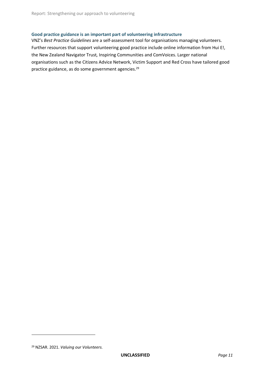#### **Good practice guidance is an important part of volunteering infrastructure**

VNZ's *Best Practice Guidelines* are a self-assessment tool for organisations managing volunteers. Further resources that support volunteering good practice include online information from Hui E!, the New Zealand Navigator Trust*,* Inspiring Communities and ComVoices. Larger national organisations such as the Citizens Advice Network, Victim Support and Red Cross have tailored good practice guidance, as do some government agencies. 29

<sup>29</sup> NZSAR. 2021. *Valuing our Volunteers.*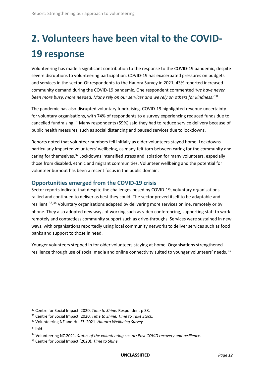# <span id="page-15-0"></span>**2. Volunteers have been vital to the COVID-19 response**

Volunteering has made a significant contribution to the response to the COVID-19 pandemic, despite severe disruptions to volunteering participation. COVID-19 has exacerbated pressures on budgets and services in the sector. Of respondents to the Hauora Survey in 2021, 43% reported increased community demand during the COVID-19 pandemic. One respondent commented *'we have never been more busy, more needed. Many rely on our services and we rely on others for kindness*.'<sup>30</sup>

The pandemic has also disrupted voluntary fundraising. COVID-19 highlighted revenue uncertainty for voluntary organisations, with 74% of respondents to a survey experiencing reduced funds due to cancelled fundraising.<sup>31</sup> Many respondents (59%) said they had to reduce service delivery because of public health measures, such as social distancing and paused services due to lockdowns.

Reports noted that volunteer numbers fell initially as older volunteers stayed home. Lockdowns particularly impacted volunteers' wellbeing, as many felt torn between caring for the community and caring for themselves.<sup>32</sup> Lockdowns intensified stress and isolation for many volunteers, especially those from disabled, ethnic and migrant communities. Volunteer wellbeing and the potential for volunteer burnout has been a recent focus in the public domain.

#### <span id="page-15-1"></span>**Opportunities emerged from the COVID-19 crisis**

Sector reports indicate that despite the challenges posed by COVID-19, voluntary organisations rallied and continued to deliver as best they could. The sector proved itself to be adaptable and resilient.<sup>33,34</sup> Voluntary organisations adapted by delivering more services online, remotely or by phone. They also adopted new ways of working such as video conferencing, supporting staff to work remotely and contactless community support such as drive-throughs. Services were sustained in new ways, with organisations reportedly using local community networks to deliver services such as food banks and support to those in need.

Younger volunteers stepped in for older volunteers staying at home. Organisations strengthened resilience through use of social media and online connectivity suited to younger volunteers' needs. <sup>35</sup>

<sup>30</sup> Centre for Social Impact. 2020. *Time to Shine*. Respondent p 38.

<sup>31</sup> Centre for Social Impact. 2020. *Time to Shine, Time to Take Stock*.

<sup>32</sup> Volunteering NZ and Hui E!. 2021. *Hauora Wellbeing Survey*.

<sup>33</sup> Ibid.

<sup>34</sup> Volunteering NZ.2021. *Status of the volunteering sector: Post COVID recovery and resilience.*

<sup>35</sup> Centre for Social Impact (2020). *Time to Shine*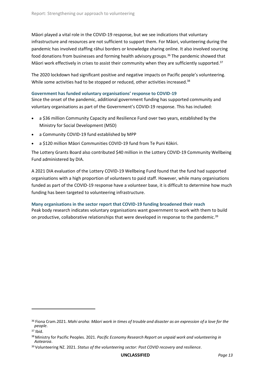Māori played a vital role in the COVID-19 response, but we see indications that voluntary infrastructure and resources are not sufficient to support them. For Māori, volunteering during the pandemic has involved staffing rāhui borders or knowledge sharing online. It also involved sourcing food donations from businesses and forming health advisory groups. <sup>36</sup> The pandemic showed that Māori work effectively in crises to assist their community when they are sufficiently supported.<sup>37</sup>

The 2020 lockdown had significant positive and negative impacts on Pacific people's volunteering. While some activities had to be stopped or reduced, other activities increased.<sup>38</sup>

#### **Government has funded voluntary organisations' response to COVID-19**

Since the onset of the pandemic, additional government funding has supported community and voluntary organisations as part of the Government's COVID-19 response. This has included:

- a \$36 million Community Capacity and Resilience Fund over two years, established by the Ministry for Social Development (MSD)
- a Community COVID-19 fund established by MPP
- a \$120 million Māori Communities COVID-19 fund from Te Puni Kōkiri.

The Lottery Grants Board also contributed \$40 million in the Lottery COVID-19 Community Wellbeing Fund administered by DIA.

A 2021 DIA evaluation of the Lottery COVID-19 Wellbeing Fund found that the fund had supported organisations with a high proportion of volunteers to paid staff. However, while many organisations funded as part of the COVID-19 response have a volunteer base, it is difficult to determine how much funding has been targeted to volunteering infrastructure.

#### **Many organisations in the sector report that COVID-19 funding broadened their reach**

Peak body research indicates voluntary organisations want government to work with them to build on productive, collaborative relationships that were developed in response to the pandemic.<sup>39</sup>

<sup>36</sup> Fiona Cram.2021. *Mahi aroha: Māori work in times of trouble and disaster as an expression of a love for the people*.

 $37$  Ibid.

<sup>38</sup> Ministry for Pacific Peoples. 2021. *Pacific Economy Research Report on unpaid work and volunteering in Aotearoa*.

<sup>39</sup> Volunteering NZ. 2021. *Status of the volunteering sector: Post COVID recovery and resilience.*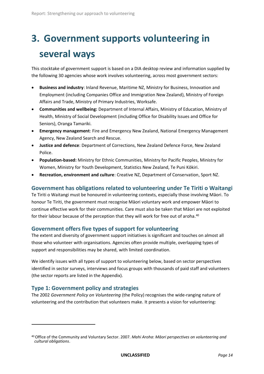# <span id="page-17-0"></span>**3. Government supports volunteering in several ways**

This stocktake of government support is based on a DIA desktop review and information supplied by the following 30 agencies whose work involves volunteering, across most government sectors:

- **Business and industry**: Inland Revenue, Maritime NZ, Ministry for Business, Innovation and Employment (including Companies Office and Immigration New Zealand), Ministry of Foreign Affairs and Trade, Ministry of Primary Industries, Worksafe.
- **Communities and wellbeing:** Department of Internal Affairs, Ministry of Education, Ministry of Health, Ministry of Social Development (including Office for Disability Issues and Office for Seniors), Oranga Tamariki.
- **Emergency management**: Fire and Emergency New Zealand, National Emergency Management Agency, New Zealand Search and Rescue.
- **Justice and defence**: Department of Corrections, New Zealand Defence Force, New Zealand Police.
- **Population-based:** Ministry for Ethnic Communities, Ministry for Pacific Peoples, Ministry for Women, Ministry for Youth Development, Statistics New Zealand, Te Puni Kōkiri.
- **Recreation, environment and culture**: Creative NZ, Department of Conservation, Sport NZ.

#### <span id="page-17-1"></span>**Government has obligations related to volunteering under Te Tiriti o Waitangi**

Te Tiriti o Waitangi must be honoured in volunteering contexts, especially those involving Māori. To honour Te Tiriti, the government must recognise Māori voluntary work and empower Māori to continue effective work for their communities. Care must also be taken that Māori are not exploited for their labour because of the perception that they will work for free out of aroha.<sup>40</sup>

#### <span id="page-17-2"></span>**Government offers five types of support for volunteering**

The extent and diversity of government support initiatives is significant and touches on almost all those who volunteer with organisations. Agencies often provide multiple, overlapping types of support and responsibilities may be shared, with limited coordination.

We identify issues with all types of support to volunteering below, based on sector perspectives identified in sector surveys, interviews and focus groups with thousands of paid staff and volunteers (the sector reports are listed in the Appendix).

#### <span id="page-17-3"></span>**Type 1: Government policy and strategies**

 $\overline{a}$ 

The 2002 *Government Policy on Volunteering* (the Policy) recognises the wide-ranging nature of volunteering and the contribution that volunteers make. It presents a vision for volunteering:

<sup>40</sup> Office of the Community and Voluntary Sector. 2007. *Mahi Aroha*: *Māori perspectives on volunteering and cultural obligations*.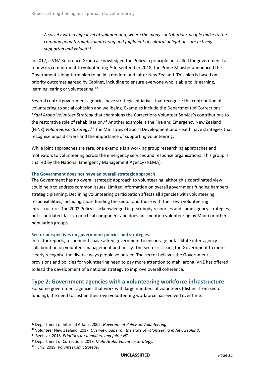*A society with a high level of volunteering, where the many contributions people make to the common good through volunteering and fulfilment of cultural obligations are actively supported and valued*. 41

In 2017, a VNZ Reference Group acknowledged the Policy in principle but called for government to renew its commitment to volunteering.<sup>42</sup> In September 2018, the Prime Minister announced the Government's long-term plan to build a modern and fairer New Zealand. This plan is based on priority outcomes agreed by Cabinet, including to ensure everyone who is able to, is earning, learning, caring or volunteering.<sup>43</sup>

Several central government agencies have strategic initiatives that recognise the contribution of volunteering to social cohesion and wellbeing. Examples include the Department of Corrections' *Mahi Aroha Volunteer Strategy* that champions the Corrections Volunteer Service's contributions to the restorative role of rehabilitation.<sup>44</sup> Another example is the Fire and Emergency New Zealand (FENZ) *Volunteerism Strategy*. <sup>45</sup> The Ministries of Social Development and Health have strategies that recognise unpaid carers and the importance of supporting volunteering.

While joint approaches are rare, one example is a working group researching approaches and motivators to volunteering across the emergency services and response organisations. This group is chaired by the National Emergency Management Agency (NEMA).

#### **The Government does not have an overall strategic approach**

The Government has no overall strategic approach to volunteering, although a coordinated view could help to address common issues. Limited information on overall government funding hampers strategic planning. Declining volunteering participation affects all agencies with volunteering responsibilities, including those funding the sector and those with their own volunteering infrastructure. The 2002 Policy is acknowledged in peak body resources and some agency strategies, but is outdated, lacks a practical component and does not mention volunteering by Māori or other population groups.

#### **Sector perspectives on government policies and strategies**

In sector reports, respondents have asked government to encourage or facilitate inter-agency collaboration on volunteer management and policy. The sector is asking the Government to more clearly recognise the diverse ways people volunteer. The sector believes the Government's provisions and policies for volunteering need to pay more attention to mahi aroha. VNZ has offered to lead the development of a national strategy to improve overall coherence.

#### <span id="page-18-0"></span>**Type 2: Government agencies with a volunteering workforce infrastructure**

For some government agencies that work with large numbers of volunteers (distinct from sector funding), the need to sustain their own volunteering workforce has evolved over time.

<sup>41</sup> Department of Internal Affairs. 2002. *Government Policy on Volunteering*.

<sup>42</sup> Volunteer New Zealand. 2017. *Overview paper on the state of volunteering in New Zealand*.

<sup>43</sup> Beehive. 2018. *Priorities for a modern and fairer NZ*

<sup>44</sup> Department of Corrections.2018. *Mahi-Aroha Volunteer Strategy.* 

<sup>45</sup> FENZ. 2019. *Volunteerism Strategy*.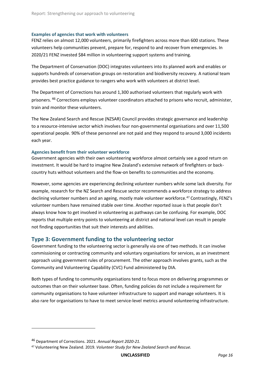#### **Examples of agencies that work with volunteers**

FENZ relies on almost 12,000 volunteers, primarily firefighters across more than 600 stations. These volunteers help communities prevent, prepare for, respond to and recover from emergencies. In 2020/21 FENZ invested \$84 million in volunteering support systems and training.

The Department of Conservation (DOC) integrates volunteers into its planned work and enables or supports hundreds of conservation groups on restoration and biodiversity recovery. A national team provides best practice guidance to rangers who work with volunteers at district level.

The Department of Corrections has around 1,300 authorised volunteers that regularly work with prisoners. <sup>46</sup> Corrections employs volunteer coordinators attached to prisons who recruit, administer, train and monitor these volunteers.

The New Zealand Search and Rescue (NZSAR) Council provides strategic governance and leadership to a resource-intensive sector which involves four non-governmental organisations and over 11,500 operational people. 90% of these personnel are not paid and they respond to around 3,000 incidents each year.

#### **Agencies benefit from their volunteer workforce**

Government agencies with their own volunteering workforce almost certainly see a good return on investment. It would be hard to imagine New Zealand's extensive network of firefighters or backcountry huts without volunteers and the flow-on benefits to communities and the economy.

However, some agencies are experiencing declining volunteer numbers while some lack diversity. For example, research for the NZ Search and Rescue sector recommends a workforce strategy to address declining volunteer numbers and an ageing, mostly male volunteer workforce.<sup>47</sup> Contrastingly, FENZ's volunteer numbers have remained stable over time. Another reported issue is that people don't always know how to get involved in volunteering as pathways can be confusing. For example, DOC reports that multiple entry points to volunteering at district and national level can result in people not finding opportunities that suit their interests and abilities.

#### <span id="page-19-0"></span>**Type 3: Government funding to the volunteering sector**

Government funding to the volunteering sector is generally via one of two methods. It can involve commissioning or contracting community and voluntary organisations for services, as an investment approach using government rules of procurement. The other approach involves grants, such as the Community and Volunteering Capability (CVC) Fund administered by DIA.

Both types of funding to community organisations tend to focus more on delivering programmes or outcomes than on their volunteer base. Often, funding policies do not include a requirement for community organisations to have volunteer infrastructure to support and manage volunteers. It is also rare for organisations to have to meet service-level metrics around volunteering infrastructure.

<sup>46</sup> Department of Corrections. 2021. *Annual Report 2020-21.*

<sup>47</sup> Volunteering New Zealand. 2019. *Volunteer Study for New Zealand Search and Rescue.*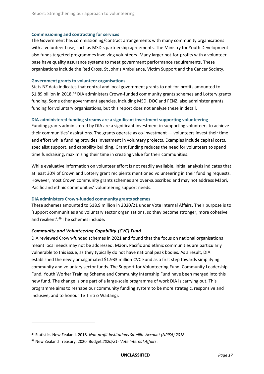#### **Commissioning and contracting for services**

The Government has commissioning/contract arrangements with many community organisations with a volunteer base, such as MSD's partnership agreements. The Ministry for Youth Development also funds targeted programmes involving volunteers. Many larger not-for-profits with a volunteer base have quality assurance systems to meet government performance requirements. These organisations include the Red Cross, St John's Ambulance, Victim Support and the Cancer Society.

#### **Government grants to volunteer organisations**

Stats NZ data indicates that central and local government grants to not-for-profits amounted to \$1.89 billion in 2018.<sup>48</sup> DIA administers Crown-funded community grants schemes and Lottery grants funding. Some other government agencies, including MSD, DOC and FENZ, also administer grants funding for voluntary organisations, but this report does not analyse these in detail.

#### **DIA-administered funding streams are a significant investment supporting volunteering**

Funding grants administered by DIA are a significant investment in supporting volunteers to achieve their communities' aspirations. The grants operate as co-investment — volunteers invest their time and effort while funding provides investment in voluntary projects. Examples include capital costs, specialist support, and capability building. Grant funding reduces the need for volunteers to spend time fundraising, maximising their time in creating value for their communities.

While evaluative information on volunteer effort is not readily available, initial analysis indicates that at least 30% of Crown and Lottery grant recipients mentioned volunteering in their funding requests. However, most Crown community grants schemes are over-subscribed and may not address Māori, Pacific and ethnic communities' volunteering support needs.

#### **DIA administers Crown-funded community grants schemes**

These schemes amounted to \$18.9 million in 2020/21 under Vote Internal Affairs. Their purpose is to 'support communities and voluntary sector organisations, so they become stronger, more cohesive and resilient'. <sup>49</sup> The schemes include:

#### *Community and Volunteering Capability (CVC) Fund*

DIA reviewed Crown-funded schemes in 2021 and found that the focus on national organisations meant local needs may not be addressed. Māori, Pacific and ethnic communities are particularly vulnerable to this issue, as they typically do not have national peak bodies. As a result, DIA established the newly amalgamated \$1.933 million CVC Fund as a first step towards simplifying community and voluntary sector funds. The Support for Volunteering Fund, Community Leadership Fund, Youth Worker Training Scheme and Community Internship Fund have been merged into this new fund. The change is one part of a large-scale programme of work DIA is carrying out. This programme aims to reshape our community funding system to be more strategic, responsive and inclusive, and to honour Te Tiriti o Waitangi.

<sup>48</sup> Statistics New Zealand. 2018. *Non-profit Institutions Satellite Account (NPISA) 2018*.

<sup>49</sup> New Zealand Treasury. 2020. Budget *2020/21- Vote Internal Affairs*.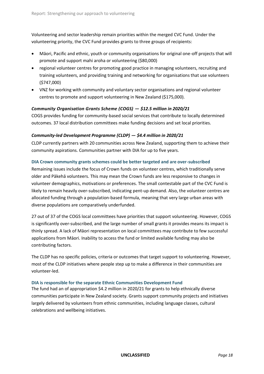Volunteering and sector leadership remain priorities within the merged CVC Fund. Under the volunteering priority, the CVC Fund provides grants to three groups of recipients:

- Māori, Pacific and ethnic, youth or community organisations for original one-off projects that will promote and support mahi aroha or volunteering (\$80,000)
- regional volunteer centres for promoting good practice in managing volunteers, recruiting and training volunteers, and providing training and networking for organisations that use volunteers (\$747,000)
- VNZ for working with community and voluntary sector organisations and regional volunteer centres to promote and support volunteering in New Zealand (\$175,000).

#### *Community Organisation Grants Scheme (COGS) — \$12.5 million in 2020/21*

COGS provides funding for community-based social services that contribute to locally determined outcomes. 37 local distribution committees make funding decisions and set local priorities.

#### *Community-led Development Programme (CLDP) — \$4.4 million in 2020/21*

CLDP currently partners with 20 communities across New Zealand, supporting them to achieve their community aspirations. Communities partner with DIA for up to five years.

#### **DIA Crown community grants schemes could be better targeted and are over-subscribed**

Remaining issues include the focus of Crown funds on volunteer centres, which traditionally serve older and Pākehā volunteers. This may mean the Crown funds are less responsive to changes in volunteer demographics, motivations or preferences. The small contestable part of the CVC Fund is likely to remain heavily over-subscribed, indicating pent-up demand. Also, the volunteer centres are allocated funding through a population-based formula, meaning that very large urban areas with diverse populations are comparatively underfunded.

27 out of 37 of the COGS local committees have priorities that support volunteering. However, COGS is significantly over-subscribed, and the large number of small grants it provides means its impact is thinly spread. A lack of Māori representation on local committees may contribute to few successful applications from Māori. Inability to access the fund or limited available funding may also be contributing factors.

The CLDP has no specific policies, criteria or outcomes that target support to volunteering. However, most of the CLDP initiatives where people step up to make a difference in their communities are volunteer-led.

#### **DIA is responsible for the separate Ethnic Communities Development Fund**

The fund had an of appropriation \$4.2 million in 2020/21 for grants to help ethnically diverse communities participate in New Zealand society. Grants support community projects and initiatives largely delivered by volunteers from ethnic communities, including language classes, cultural celebrations and wellbeing initiatives.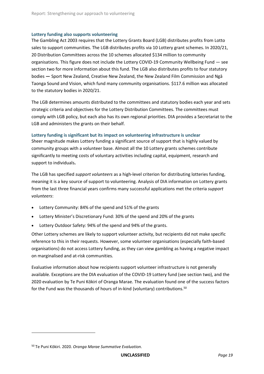#### **Lottery funding also supports volunteering**

The Gambling Act 2003 requires that the Lottery Grants Board (LGB) distributes profits from Lotto sales to support communities. The LGB distributes profits via 10 Lottery grant schemes. In 2020/21, 20 Distribution Committees across the 10 schemes allocated \$134 million to community organisations. This figure does not include the Lottery COVID-19 Community Wellbeing Fund — see section two for more information about this fund. The LGB also distributes profits to four statutory bodies **—** Sport New Zealand, Creative New Zealand, the New Zealand Film Commission and Ngā Taonga Sound and Vision, which fund many community organisations. \$117.6 million was allocated to the statutory bodies in 2020/21.

The LGB determines amounts distributed to the committees and statutory bodies each year and sets strategic criteria and objectives for the Lottery Distribution Committees. The committees must comply with LGB policy, but each also has its own regional priorities. DIA provides a Secretariat to the LGB and administers the grants on their behalf.

#### **Lottery funding is significant but its impact on volunteering infrastructure is unclear**

Sheer magnitude makes Lottery funding a significant source of support that is highly valued by community groups with a volunteer base. Almost all the 10 Lottery grants schemes contribute significantly to meeting costs of voluntary activities including capital, equipment, research and support to individuals**.** 

The LGB has specified *support volunteers* as a high-level criterion for distributing lotteries funding, meaning it is a key source of support to volunteering. Analysis of DIA information on Lottery grants from the last three financial years confirms many successful applications met the criteria *support volunteers*:

- Lottery Community: 84% of the spend and 51% of the grants
- Lottery Minister's Discretionary Fund: 30% of the spend and 20% of the grants
- Lottery Outdoor Safety: 94% of the spend and 94% of the grants.

Other Lottery schemes are likely to support volunteer activity, but recipients did not make specific reference to this in their requests. However, some volunteer organisations (especially faith-based organisations) do not access Lottery funding, as they can view gambling as having a negative impact on marginalised and at-risk communities.

Evaluative information about how recipients support volunteer infrastructure is not generally available. Exceptions are the DIA evaluation of the COVID-19 Lottery fund (see section two), and the 2020 evaluation by Te Puni Kōkiri of Oranga Marae. The evaluation found one of the success factors for the Fund was the thousands of hours of in-kind (voluntary) contributions. 50

<sup>50</sup> Te Puni Kōkiri. 2020. *Oranga Marae Summative Evaluation.*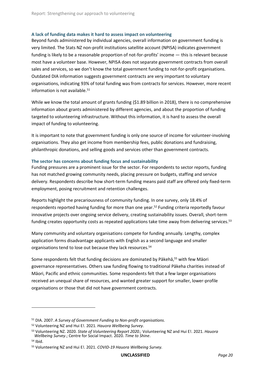#### **A lack of funding data makes it hard to assess impact on volunteering**

Beyond funds administered by individual agencies, overall information on government funding is very limited. The Stats NZ non-profit institutions satellite account (NPISA) indicates government funding is likely to be a reasonable proportion of not-for-profits' income — this is relevant because most have a volunteer base. However, NPISA does not separate government contracts from overall sales and services, so we don't know the total government funding to not-for-profit organisations. Outdated DIA information suggests government contracts are very important to voluntary organisations, indicating 93% of total funding was from contracts for services. However, more recent information is not available. $51$ 

While we know the total amount of grants funding (\$1.89 billion in 2018), there is no comprehensive information about grants administered by different agencies, and about the proportion of funding targeted to volunteering infrastructure. Without this information, it is hard to assess the overall impact of funding to volunteering.

It is important to note that government funding is only one source of income for volunteer-involving organisations. They also get income from membership fees, public donations and fundraising, philanthropic donations, and selling goods and services other than government contracts.

#### **The sector has concerns about funding focus and sustainability**

Funding pressures are a prominent issue for the sector. For respondents to sector reports, funding has not matched growing community needs, placing pressure on budgets, staffing and service delivery. Respondents describe how short-term funding means paid staff are offered only fixed-term employment, posing recruitment and retention challenges.

Reports highlight the precariousness of community funding. In one survey, only 18.4% of respondents reported having funding for more than one year. <sup>52</sup> Funding criteria reportedly favour innovative projects over ongoing service delivery, creating sustainability issues. Overall, short-term funding creates opportunity costs as repeated applications take time away from delivering services.<sup>53</sup>

Many community and voluntary organisations compete for funding annually. Lengthy, complex application forms disadvantage applicants with English as a second language and smaller organisations tend to lose out because they lack resources.<sup>54</sup>

Some respondents felt that funding decisions are dominated by Pākehā, <sup>55</sup> with few Māori governance representatives. Others saw funding flowing to traditional Pākeha charities instead of Māori, Pacific and ethnic communities. Some respondents felt that a few larger organisations received an unequal share of resources, and wanted greater support for smaller, lower-profile organisations or those that did not have government contracts.

<sup>51</sup> DIA. 2007. *A Survey of Government Funding to Non-profit organisations.*

<sup>52</sup> Volunteering NZ and Hui E!. 2021. *Hauora Wellbeing Survey*.

<sup>53</sup> Volunteering NZ. 2020. *State of Volunteering Report 2020.;* Volunteering NZ and Hui E!. 2021. *Hauora Wellbeing Survey*.; Centre for Social Impact. 2020. *Time to Shine*.

<sup>54</sup> Ibid.

<sup>55</sup> Volunteering NZ and Hui E!. 2021. *COVID-19 Hauora Wellbeing Survey.*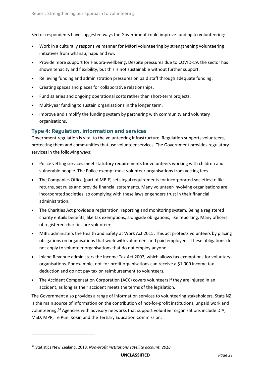Sector respondents have suggested ways the Government could improve funding to volunteering:

- Work in a culturally responsive manner for Māori volunteering by strengthening volunteering initiatives from whanau, hapū and iwi.
- Provide more support for Hauora-wellbeing. Despite pressures due to COVID-19, the sector has shown tenacity and flexibility, but this is not sustainable without further support.
- Relieving funding and administration pressures on paid staff through adequate funding.
- Creating spaces and places for collaborative relationships.
- Fund salaries and ongoing operational costs rather than short-term projects.
- Multi-year funding to sustain organisations in the longer term.
- Improve and simplify the funding system by partnering with community and voluntary organisations.

#### <span id="page-24-0"></span>**Type 4: Regulation, information and services**

Government regulation is vital to the volunteering infrastructure. Regulation supports volunteers, protecting them and communities that use volunteer services. The Government provides regulatory services in the following ways:

- Police vetting services meet statutory requirements for volunteers working with children and vulnerable people. The Police exempt most volunteer organisations from vetting fees.
- The Companies Office (part of MBIE) sets legal requirements for incorporated societies to file returns, set rules and provide financial statements. Many volunteer-involving organisations are incorporated societies, so complying with these laws engenders trust in their financial administration.
- The Charities Act provides a registration, reporting and monitoring system. Being a registered charity entails benefits, like tax exemptions, alongside obligations, like reporting. Many officers of registered charities are volunteers.
- MBIE administers the Health and Safety at Work Act 2015. This act protects volunteers by placing obligations on organisations that work with volunteers and paid employees. These obligations do not apply to volunteer organisations that do not employ anyone.
- Inland Revenue administers the Income Tax Act 2007, which allows tax exemptions for voluntary organisations. For example, not-for-profit organisations can receive a \$1,000 income tax deduction and do not pay tax on reimbursement to volunteers.
- The Accident Compensation Corporation (ACC) covers volunteers if they are injured in an accident, as long as their accident meets the terms of the legislation.

The Government also provides a range of information services to volunteering stakeholders. Stats NZ is the main source of information on the contribution of not-for-profit institutions, unpaid work and volunteering. <sup>56</sup> Agencies with advisory networks that support volunteer organisations include DIA, MSD, MPP, Te Puni Kōkiri and the Tertiary Education Commission.

<sup>56</sup> Statistics New Zealand. 2018. *Non-profit institutions satellite account: 2018*.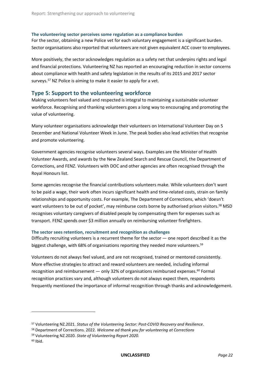#### **The volunteering sector perceives some regulation as a compliance burden**

For the sector, obtaining a new Police vet for each voluntary engagement is a significant burden. Sector organisations also reported that volunteers are not given equivalent ACC cover to employees.

More positively, the sector acknowledges regulation as a safety net that underpins rights and legal and financial protections. Volunteering NZ has reported an encouraging reduction in sector concerns about compliance with health and safety legislation in the results of its 2015 and 2017 sector surveys.<sup>57</sup> NZ Police is aiming to make it easier to apply for a yet.

#### <span id="page-25-0"></span>**Type 5: Support to the volunteering workforce**

Making volunteers feel valued and respected is integral to maintaining a sustainable volunteer workforce. Recognising and thanking volunteers goes a long way to encouraging and promoting the value of volunteering.

Many volunteer organisations acknowledge their volunteers on International Volunteer Day on 5 December and National Volunteer Week in June. The peak bodies also lead activities that recognise and promote volunteering.

Government agencies recognise volunteers several ways. Examples are the Minister of Health Volunteer Awards, and awards by the New Zealand Search and Rescue Council, the Department of Corrections, and FENZ. Volunteers with DOC and other agencies are often recognised through the Royal Honours list.

Some agencies recognise the financial contributions volunteers make. While volunteers don't want to be paid a wage, their work often incurs significant health and time-related costs, strain on family relationships and opportunity costs. For example, The Department of Corrections, which 'doesn't want volunteers to be out of pocket', may reimburse costs borne by authorised prison visitors.<sup>58</sup> MSD recognises voluntary caregivers of disabled people by compensating them for expenses such as transport. FENZ spends over \$3 million annually on reimbursing volunteer firefighters.

#### **The sector sees retention, recruitment and recognition as challenges**

Difficulty recruiting volunteers is a recurrent theme for the sector — one report described it as the biggest challenge, with 68% of organisations reporting they needed more volunteers.<sup>59</sup>

Volunteers do not always feel valued, and are not recognised, trained or mentored consistently. More effective strategies to attract and reward volunteers are needed, including informal recognition and reimbursement  $-$  only 32% of organisations reimbursed expenses.<sup>60</sup> Formal recognition practices vary and, although volunteers do not always expect them, respondents frequently mentioned the importance of informal recognition through thanks and acknowledgement.

<sup>57</sup> Volunteering NZ.2021. *Status of the Volunteering Sector: Post-COVID Recovery and Resilience*.

<sup>58</sup> Department of Corrections. 2022. *Welcome ad thank you for volunteering at Corrections*

<sup>59</sup> Volunteering NZ.2020. *State of Volunteering Report 2020.*

 $60$  Ibid.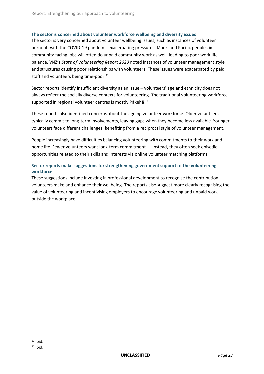#### **The sector is concerned about volunteer workforce wellbeing and diversity issues**

The sector is very concerned about volunteer wellbeing issues, such as instances of volunteer burnout, with the COVID-19 pandemic exacerbating pressures. Māori and Pacific peoples in community-facing jobs will often do unpaid community work as well, leading to poor work-life balance. VNZ's *State of Volunteering Report 2020* noted instances of volunteer management style and structures causing poor relationships with volunteers. These issues were exacerbated by paid staff and volunteers being time-poor. 61

Sector reports identify insufficient diversity as an issue – volunteers' age and ethnicity does not always reflect the socially diverse contexts for volunteering. The traditional volunteering workforce supported in regional volunteer centres is mostly Pākehā.<sup>62</sup>

These reports also identified concerns about the ageing volunteer workforce. Older volunteers typically commit to long-term involvements, leaving gaps when they become less available. Younger volunteers face different challenges, benefiting from a reciprocal style of volunteer management.

People increasingly have difficulties balancing volunteering with commitments to their work and home life. Fewer volunteers want long-term commitment — instead, they often seek episodic opportunities related to their skills and interests via online volunteer matching platforms.

#### **Sector reports make suggestions for strengthening government support of the volunteering workforce**

These suggestions include investing in professional development to recognise the contribution volunteers make and enhance their wellbeing. The reports also suggest more clearly recognising the value of volunteering and incentivising employers to encourage volunteering and unpaid work outside the workplace.

 $61$  Ibid.  $62$  Ibid.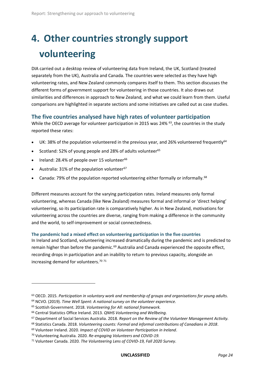# <span id="page-27-0"></span>**4. Other countries strongly support volunteering**

DIA carried out a desktop review of volunteering data from Ireland, the UK, Scotland (treated separately from the UK), Australia and Canada. The countries were selected as they have high volunteering rates, and New Zealand commonly compares itself to them. This section discusses the different forms of government support for volunteering in those countries. It also draws out similarities and differences in approach to New Zealand, and what we could learn from them. Useful comparisons are highlighted in separate sections and some initiatives are called out as case studies.

#### <span id="page-27-1"></span>**The five countries analysed have high rates of volunteer participation**

While the OECD average for volunteer participation in 2015 was 24% <sup>63</sup>, the countries in the study reported these rates:

- UK: 38% of the population volunteered in the previous year, and 26% volunteered frequently<sup>64</sup>
- Scotland: 52% of young people and 28% of adults volunteer<sup>65</sup>
- Ireland: 28.4% of people over 15 volunteer $66$
- Australia:  $31\%$  of the population volunteer<sup>67</sup>
- Canada: 79% of the population reported volunteering either formally or informally.<sup>68</sup>

Different measures account for the varying participation rates. Ireland measures only formal volunteering, whereas Canada (like New Zealand) measures formal and informal or 'direct helping' volunteering, so its participation rate is comparatively higher. As in New Zealand, motivations for volunteering across the countries are diverse, ranging from making a difference in the community and the world, to self-improvement or social connectedness.

**The pandemic had a mixed effect on volunteering participation in the five countries**

In Ireland and Scotland, volunteering increased dramatically during the pandemic and is predicted to remain higher than before the pandemic.<sup>69</sup> Australia and Canada experienced the opposite effect, recording drops in participation and an inability to return to previous capacity, alongside an increasing demand for volunteers.<sup>70 71</sup>

<sup>63</sup> OECD. 2015. *Participation in voluntary work and membership of groups and organisations for young adults.*

<sup>64</sup> NCVO. (2019). *Time Well Spent: A national survey on the volunteer experience.* 

<sup>65</sup> Scottish Government. 2018. *Volunteering for All: national framework.*

<sup>66</sup> Central Statistics Office Ireland. 2013. *QNHS Volunteering and Wellbeing.*

<sup>67</sup> Department of Social Services Australia. 2018. *Report on the Review of the Volunteer Management Activity.*

<sup>68</sup> Statistics Canada. 2018. *Volunteering counts: Formal and informal contributions of Canadians in 2018*.

<sup>69</sup> Volunteer Ireland. 2020. *Impact of COVID on Volunteer Participation in Ireland*.

<sup>70</sup> Volunteering Australia. 2020. *Re-engaging Volunteers and COVID-19.*

<sup>71</sup> Volunteer Canada. 2020. *The Volunteering Lens of COVID-19, Fall 2020 Survey*.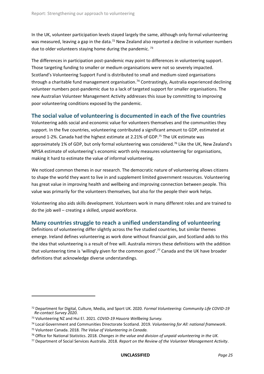In the UK, volunteer participation levels stayed largely the same, although only formal volunteering was measured, leaving a gap in the data.<sup>72</sup> New Zealand also reported a decline in volunteer numbers due to older volunteers staying home during the pandemic.<sup>73</sup>

The differences in participation post-pandemic may point to differences in volunteering support. Those targeting funding to smaller or medium organisations were not so severely impacted. Scotland's Volunteering Support Fund is distributed to small and medium-sized organisations through a charitable fund management organisation.<sup>74</sup> Contrastingly, Australia experienced declining volunteer numbers post-pandemic due to a lack of targeted support for smaller organisations. The new Australian Volunteer Management Activity addresses this issue by committing to improving poor volunteering conditions exposed by the pandemic.

#### <span id="page-28-0"></span>**The social value of volunteering is documented in each of the five countries**

Volunteering adds social and economic value for volunteers themselves and the communities they support. In the five countries, volunteering contributed a significant amount to GDP, estimated at around 1-2%. Canada had the highest estimate at 2.21% of GDP. <sup>75</sup> The UK estimate was approximately 1% of GDP, but only formal volunteering was considered.<sup>76</sup> Like the UK, New Zealand's NPISA estimate of volunteering's economic worth only measures volunteering for organisations, making it hard to estimate the value of informal volunteering.

We noticed common themes in our research. The democratic nature of volunteering allows citizens to shape the world they want to live in and supplement limited government resources. Volunteering has great value in improving health and wellbeing and improving connection between people. This value was primarily for the volunteers themselves, but also for the people their work helps.

Volunteering also aids skills development. Volunteers work in many different roles and are trained to do the job well – creating a skilled, unpaid workforce.

#### <span id="page-28-1"></span>**Many countries struggle to reach a unified understanding of volunteering**

Definitions of volunteering differ slightly across the five studied countries, but similar themes emerge. Ireland defines volunteering as work done without financial gain, and Scotland adds to this the idea that volunteering is a result of free will. Australia mirrors these definitions with the addition that volunteering time is 'willingly given for the common good'. <sup>77</sup> Canada and the UK have broader definitions that acknowledge diverse understandings.

<sup>72</sup> Department for Digital, Culture, Media, and Sport UK. 2020. *Formal Volunteering: Community Life COVID-19 Re-contact Survey 2020*.

<sup>73</sup> Volunteering NZ and Hui E!. 2021. *COVID-19 Hauora Wellbeing Survey.*

<sup>74</sup> Local Government and Communities Directorate Scotland. 2019. *Volunteering for All: national framework*.

<sup>75</sup> Volunteer Canada. 2018. *The Value of Volunteering in Canada.*

<sup>76</sup> Office for National Statistics. 2018. *Changes in the value and division of unpaid volunteering in the UK.*

<sup>77</sup> Department of Social Services Australia. 2018. *Report on the Review of the Volunteer Management Activity*.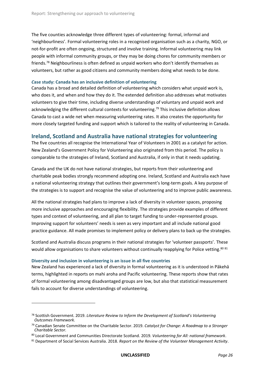The five counties acknowledge three different types of volunteering: formal, informal and 'neighbourliness'. Formal volunteering roles in a recognised organisation such as a charity, NGO, or not-for-profit are often ongoing, structured and involve training. Informal volunteering may link people with informal community groups, or they may be doing chores for community members or friends. <sup>78</sup> Neighbourliness is often defined as unpaid workers who don't identify themselves as volunteers, but rather as good citizens and community members doing what needs to be done.

#### *C***ase study: Canada has an inclusive definition of volunteering**

Canada has a broad and detailed definition of volunteering which considers what unpaid work is, who does it, and when and how they do it. The extended definition also addresses what motivates volunteers to give their time, including diverse understandings of voluntary and unpaid work and acknowledging the different cultural contexts for volunteering. <sup>79</sup> This inclusive definition allows Canada to cast a wide net when measuring volunteering rates. It also creates the opportunity for more closely targeted funding and support which is tailored to the reality of volunteering in Canada.

#### <span id="page-29-0"></span>**Ireland, Scotland and Australia have national strategies for volunteering**

The five countries all recognise the International Year of Volunteers in 2001 as a catalyst for action. New Zealand's Government Policy for Volunteering also originated from this period. The policy is comparable to the strategies of Ireland, Scotland and Australia, if only in that it needs updating.

Canada and the UK do not have national strategies, but reports from their volunteering and charitable peak bodies strongly recommend adopting one. Ireland, Scotland and Australia each have a national volunteering strategy that outlines their government's long-term goals. A key purpose of the strategies is to support and recognise the value of volunteering and to improve public awareness.

All the national strategies had plans to improve a lack of diversity in volunteer spaces, proposing more inclusive approaches and encouraging flexibility. The strategies provide examples of different types and context of volunteering, and all plan to target funding to under-represented groups. Improving support for volunteers' needs is seen as very important and all include national good practice guidance. All made promises to implement policy or delivery plans to back up the strategies.

Scotland and Australia discuss programs in their national strategies for 'volunteer passports'. These would allow organisations to share volunteers without continually reapplying for Police vetting.<sup>80 81</sup>

#### **Diversity and inclusion in volunteering is an issue in all five countries**

 $\overline{a}$ 

New Zealand has experienced a lack of diversity in formal volunteering as it is understood in Pākehā terms, highlighted in reports on mahi aroha and Pacific volunteering. These reports show that rates of formal volunteering among disadvantaged groups are low, but also that statistical measurement fails to account for diverse understandings of volunteering.

<sup>78</sup> Scottish Government. 2019. *Literature Review to Inform the Development of Scotland's Volunteering Outcomes Framework.*

<sup>79</sup> Canadian Senate Committee on the Charitable Sector. 2019. *Catalyst for Change: A Roadmap to a Stronger Charitable Sector.*

<sup>80</sup> Local Government and Communities Directorate Scotland*.* 2019. *Volunteering for All: national framework*.

<sup>81</sup> Department of Social Services Australia. 2018. *Report on the Review of the Volunteer Management Activity*.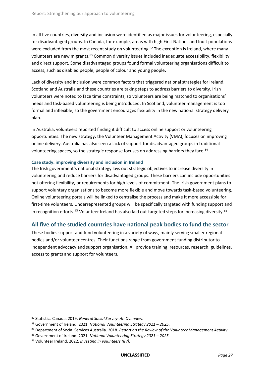In all five countries, diversity and inclusion were identified as major issues for volunteering, especially for disadvantaged groups. In Canada, for example, areas with high First Nations and Inuit populations were excluded from the most recent study on volunteering.<sup>82</sup> The exception is Ireland, where many volunteers are new migrants.<sup>83</sup> Common diversity issues included inadequate accessibility, flexibility and direct support. Some disadvantaged groups found formal volunteering organisations difficult to access, such as disabled people, people of colour and young people.

Lack of diversity and inclusion were common factors that triggered national strategies for Ireland, Scotland and Australia and these countries are taking steps to address barriers to diversity. Irish volunteers were noted to face time constraints, so volunteers are being matched to organisations' needs and task-based volunteering is being introduced. In Scotland, volunteer management is too formal and inflexible, so the government encourages flexibility in the new national strategy delivery plan.

In Australia, volunteers reported finding it difficult to access online support or volunteering opportunities. The new strategy, the Volunteer Management Activity (VMA), focuses on improving online delivery. Australia has also seen a lack of support for disadvantaged groups in traditional volunteering spaces, so the strategic response focuses on addressing barriers they face.<sup>84</sup>

#### **Case study: improving diversity and inclusion in Ireland**

The Irish government's national strategy lays out strategic objectives to increase diversity in volunteering and reduce barriers for disadvantaged groups. These barriers can include opportunities not offering flexibility, or requirements for high levels of commitment. The Irish government plans to support voluntary organisations to become more flexible and move towards task-based volunteering. Online volunteering portals will be linked to centralise the process and make it more accessible for first-time volunteers. Underrepresented groups will be specifically targeted with funding support and in recognition efforts.<sup>85</sup> Volunteer Ireland has also laid out targeted steps for increasing diversity.<sup>86</sup>

#### <span id="page-30-0"></span>**All five of the studied countries have national peak bodies to fund the sector**

These bodies support and fund volunteering in a variety of ways, mainly serving smaller regional bodies and/or volunteer centres. Their functions range from government funding distributor to independent advocacy and support organisation. All provide training, resources, research, guidelines, access to grants and support for volunteers.

<sup>82</sup> Statistics Canada. 2019. *General Social Survey: An Overview.*

<sup>83</sup> Government of Ireland. 2021. *National Volunteering Strategy 2021 – 2025*.

<sup>84</sup> Department of Social Services Australia. 2018. *Report on the Review of the Volunteer Management Activity*.

<sup>85</sup> Government of Ireland. 2021. *National Volunteering Strategy 2021 – 2025*.

<sup>86</sup> Volunteer Ireland. 2022. *Investing in volunteers (IIV).*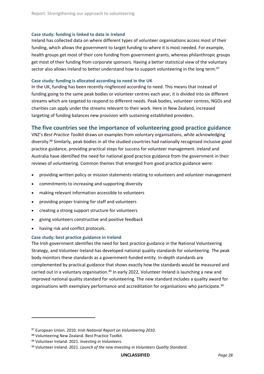#### **Case study: funding is linked to data in Ireland**

Ireland has collected data on where different types of volunteer organisations access most of their funding, which allows the government to target funding to where it is most needed. For example, health groups get most of their core funding from government grants, whereas philanthropic groups get most of their funding from corporate sponsors. Having a better statistical view of the voluntary sector also allows Ireland to better understand how to support volunteering in the long term.<sup>87</sup>

#### **Case study: funding is allocated according to need in the UK**

In the UK, funding has been recently ringfenced according to need. This means that instead of funding going to the same peak bodies or volunteer centres each year, it is divided into six different streams which are targeted to respond to different needs. Peak bodies, volunteer centres, NGOs and charities can apply under the streams relevant to their work. Here in New Zealand, increased targeting of funding balances new provision with sustaining established providers.

#### <span id="page-31-0"></span>**The five countries see the importance of volunteering good practice guidance**

VNZ's *Best Practice Toolkit* draws on examples from voluntary organisations, while acknowledging diversity.<sup>88</sup> Similarly, peak bodies in all the studied countries had nationally recognised inclusive good practice guidance, providing practical steps for success for volunteer management. Ireland and Australia have identified the need for national good practice guidance from the government in their reviews of volunteering. Common themes that emerged from good practice guidance were:

- providing written policy or mission statements relating to volunteers and volunteer management
- commitments to increasing and supporting diversity
- making relevant information accessible to volunteers
- providing proper training for staff and volunteers
- creating a strong support structure for volunteers
- giving volunteers constructive and positive feedback
- having risk and conflict protocols.

#### **Case study: best practice guidance in Ireland**

The Irish government identifies the need for best practice guidance in the National Volunteering Strategy, and Volunteer Ireland has developed national quality standards for volunteering. The peak body monitors these standards as a government-funded entity. In-depth standards are complemented by practical guidance that shows exactly how the standards would be measured and carried out in a voluntary organisation.<sup>89</sup> In early 2022, Volunteer Ireland is launching a new and improved national quality standard for volunteering. The new standard includes a quality award for organisations with exemplary performance and accreditation for organisations who participate.<sup>90</sup>

<sup>87</sup> European Union. 2010. *Irish National Report on Volunteering 2010*.

<sup>88</sup> Volunteering New Zealand. Best Practice Toolkit.

<sup>89</sup> Volunteer Ireland. 2021. *Investing in Volunteers*.

<sup>90</sup> Volunteer Ireland. 2021. *Launch of the new Investing in Volunteers Quality Standard.*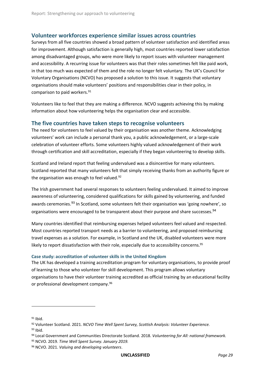#### <span id="page-32-0"></span>**Volunteer workforces experience similar issues across countries**

Surveys from all five countries showed a broad pattern of volunteer satisfaction and identified areas for improvement. Although satisfaction is generally high, most countries reported lower satisfaction among disadvantaged groups, who were more likely to report issues with volunteer management and accessibility. A recurring issue for volunteers was that their roles sometimes felt like paid work, in that too much was expected of them and the role no longer felt voluntary. The UK's Council for Voluntary Organisations (NCVO) has proposed a solution to this issue. It suggests that voluntary organisations should make volunteers' positions and responsibilities clear in their policy, in comparison to paid workers. 91

Volunteers like to feel that they are making a difference. NCVO suggests achieving this by making information about how volunteering helps the organisation clear and accessible.

#### <span id="page-32-1"></span>**The five countries have taken steps to recognise volunteers**

The need for volunteers to feel valued by their organisation was another theme. Acknowledging volunteers' work can include a personal thank you, a public acknowledgement, or a large-scale celebration of volunteer efforts. Some volunteers highly valued acknowledgement of their work through certification and skill accreditation, especially if they began volunteering to develop skills.

Scotland and Ireland report that feeling undervalued was a disincentive for many volunteers. Scotland reported that many volunteers felt that simply receiving thanks from an authority figure or the organisation was enough to feel valued.<sup>92</sup>

The Irish government had several responses to volunteers feeling undervalued. It aimed to improve awareness of volunteering, considered qualifications for skills gained by volunteering, and funded awards ceremonies.<sup>93</sup> In Scotland, some volunteers felt their organisation was 'going nowhere', so organisations were encouraged to be transparent about their purpose and share successes.<sup>94</sup>

Many countries identified that reimbursing expenses helped volunteers feel valued and respected. Most countries reported transport needs as a barrier to volunteering, and proposed reimbursing travel expenses as a solution. For example, in Scotland and the UK, disabled volunteers were more likely to report dissatisfaction with their role, especially due to accessibility concerns.<sup>95</sup>

#### **Case study: accreditation of volunteer skills in the United Kingdom**

The UK has developed a training accreditation program for voluntary organisations, to provide proof of learning to those who volunteer for skill development. This program allows voluntary organisations to have their volunteer training accredited as official training by an educational facility or professional development company. 96

l

 $93$  Ibid.

<sup>91</sup> Ibid.

<sup>92</sup> Volunteer Scotland. 2021. *NCVO Time Well Spent Survey, Scottish Analysis: Volunteer Experience.*

<sup>94</sup> Local Government and Communities Directorate Scotland. 2018. *Volunteering for All: national framework.*

<sup>95</sup> NCVO. 2019. *Time Well Spent Survey. January 2019.*

<sup>96</sup> NCVO. 2021. *Valuing and developing volunteers*.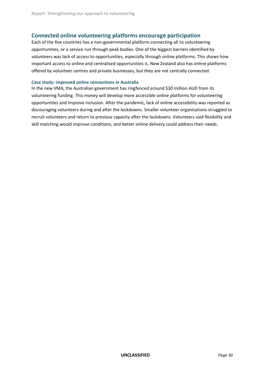#### <span id="page-33-0"></span>**Connected online volunteering platforms encourage participation**

Each of the five countries has a non-governmental platform connecting all its volunteering opportunities, or a service run through peak bodies. One of the biggest barriers identified by volunteers was lack of access to opportunities, especially through online platforms. This shows how important access to online and centralised opportunities is. New Zealand also has online platforms offered by volunteer centres and private businesses, but they are not centrally connected.

#### **Case study: improved online connections in Australia**

In the new VMA, the Australian government has ringfenced around \$30 million AUD from its volunteering funding. This money will develop more accessible online platforms for volunteering opportunities and improve inclusion. After the pandemic, lack of online accessibility was reported as discouraging volunteers during and after the lockdowns. Smaller volunteer organisations struggled to recruit volunteers and return to previous capacity after the lockdowns. Volunteers said flexibility and skill matching would improve conditions, and better online delivery could address their needs.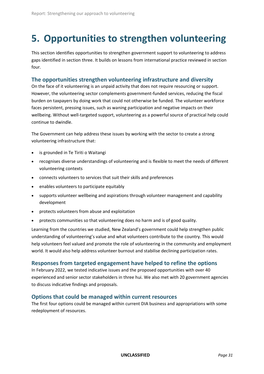### <span id="page-34-0"></span>**5. Opportunities to strengthen volunteering**

This section identifies opportunities to strengthen government support to volunteering to address gaps identified in section three. It builds on lessons from international practice reviewed in section four.

#### <span id="page-34-1"></span>**The opportunities strengthen volunteering infrastructure and diversity**

On the face of it volunteering is an unpaid activity that does not require resourcing or support. However, the volunteering sector complements government-funded services, reducing the fiscal burden on taxpayers by doing work that could not otherwise be funded. The volunteer workforce faces persistent, pressing issues, such as waning participation and negative impacts on their wellbeing. Without well-targeted support, volunteering as a powerful source of practical help could continue to dwindle.

The Government can help address these issues by working with the sector to create a strong volunteering infrastructure that:

- is grounded in Te Tiriti o Waitangi
- recognises diverse understandings of volunteering and is flexible to meet the needs of different volunteering contexts
- connects volunteers to services that suit their skills and preferences
- enables volunteers to participate equitably
- supports volunteer wellbeing and aspirations through volunteer management and capability development
- protects volunteers from abuse and exploitation
- protects communities so that volunteering does no harm and is of good quality.

Learning from the countries we studied, New Zealand's government could help strengthen public understanding of volunteering's value and what volunteers contribute to the country. This would help volunteers feel valued and promote the role of volunteering in the community and employment world. It would also help address volunteer burnout and stabilise declining participation rates.

#### <span id="page-34-2"></span>**Responses from targeted engagement have helped to refine the options**

In February 2022, we tested indicative issues and the proposed opportunities with over 40 experienced and senior sector stakeholders in three hui. We also met with 20 government agencies to discuss indicative findings and proposals.

#### <span id="page-34-3"></span>**Options that could be managed within current resources**

The first four options could be managed within current DIA business and appropriations with some redeployment of resources.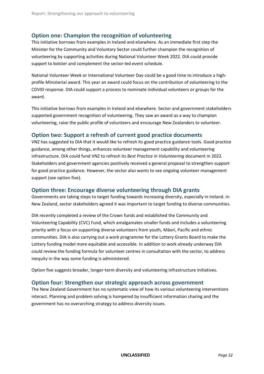#### <span id="page-35-0"></span>**Option one: Champion the recognition of volunteering**

This initiative borrows from examples in Ireland and elsewhere. As an immediate first step the Minister for the Community and Voluntary Sector could further champion the recognition of volunteering by supporting activities during National Volunteer Week 2022. DIA could provide support to bolster and complement the sector-led event schedule.

National Volunteer Week or International Volunteer Day could be a good time to introduce a highprofile Ministerial award. This year an award could focus on the contribution of volunteering to the COVID response. DIA could support a process to nominate individual volunteers or groups for the award.

This initiative borrows from examples in Ireland and elsewhere. Sector and government stakeholders supported government recognition of volunteering. They saw an award as a way to champion volunteering, raise the public profile of volunteers and encourage New Zealanders to volunteer.

#### <span id="page-35-1"></span>**Option two: Support a refresh of current good practice documents**

VNZ has suggested to DIA that it would like to refresh its good practice guidance tools. Good practice guidance, among other things, enhances volunteer management capability and volunteering infrastructure. DIA could fund VNZ to refresh its *Best Practice in Volunteering* document in 2022. Stakeholders and government agencies positively received a general proposal to strengthen support for good practice guidance. However, the sector also wants to see ongoing volunteer management support (see option five).

#### <span id="page-35-2"></span>**Option three: Encourage diverse volunteering through DIA grants**

Governments are taking steps to target funding towards increasing diversity, especially in Ireland. In New Zealand, sector stakeholders agreed it was important to target funding to diverse communities.

DIA recently completed a review of the Crown funds and established the Community and Volunteering Capability (CVC) Fund, which amalgamates smaller funds and includes a volunteering priority with a focus on supporting diverse volunteers from youth, Māori, Pacific and ethnic communities. DIA is also carrying out a work programme for the Lottery Grants Board to make the Lottery funding model more equitable and accessible. In addition to work already underway DIA could review the funding formula for volunteer centres in consultation with the sector, to address inequity in the way some funding is administered.

Option five suggests broader, longer-term diversity and volunteering infrastructure initiatives.

#### <span id="page-35-3"></span>**Option four: Strengthen our strategic approach across government**

The New Zealand Government has no systematic view of how its various volunteering interventions interact. Planning and problem solving is hampered by insufficient information sharing and the government has no overarching strategy to address diversity issues.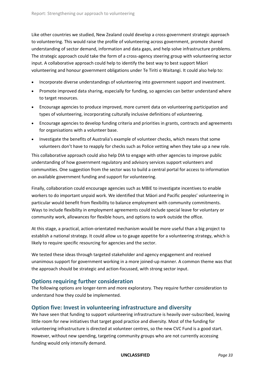Like other countries we studied, New Zealand could develop a cross-government strategic approach to volunteering. This would raise the profile of volunteering across government, promote shared understanding of sector demand, information and data gaps, and help solve infrastructure problems. The strategic approach could take the form of a cross-agency steering group with volunteering sector input. A collaborative approach could help to identify the best way to best support Māori volunteering and honour government obligations under Te Tiriti o Waitangi. It could also help to:

- Incorporate diverse understandings of volunteering into government support and investment.
- Promote improved data sharing, especially for funding, so agencies can better understand where to target resources.
- Encourage agencies to produce improved, more current data on volunteering participation and types of volunteering, incorporating culturally inclusive definitions of volunteering.
- Encourage agencies to develop funding criteria and priorities in grants, contracts and agreements for organisations with a volunteer base.
- Investigate the benefits of Australia's example of volunteer checks, which means that some volunteers don't have to reapply for checks such as Police vetting when they take up a new role.

This collaborative approach could also help DIA to engage with other agencies to improve public understanding of how government regulatory and advisory services support volunteers and communities. One suggestion from the sector was to build a central portal for access to information on available government funding and support for volunteering.

Finally, collaboration could encourage agencies such as MBIE to investigate incentives to enable workers to do important unpaid work. We identified that Māori and Pacific peoples' volunteering in particular would benefit from flexibility to balance employment with community commitments. Ways to include flexibility in employment agreements could include special leave for voluntary or community work, allowances for flexible hours, and options to work outside the office.

At this stage, a practical, action-orientated mechanism would be more useful than a big project to establish a national strategy. It could allow us to gauge appetite for a volunteering strategy, which is likely to require specific resourcing for agencies and the sector.

We tested these ideas through targeted stakeholder and agency engagement and received unanimous support for government working in a more joined-up manner. A common theme was that the approach should be strategic and action-focussed, with strong sector input.

#### <span id="page-36-0"></span>**Options requiring further consideration**

The following options are longer-term and more exploratory. They require further consideration to understand how they could be implemented.

#### <span id="page-36-1"></span>**Option five: Invest in volunteering infrastructure and diversity**

We have seen that funding to support volunteering infrastructure is heavily over-subscribed, leaving little room for new initiatives that target good practice and diversity. Most of the funding for volunteering infrastructure is directed at volunteer centres, so the new CVC Fund is a good start. However, without new spending, targeting community groups who are not currently accessing funding would only intensify demand.

**UNCLASSIFIED** *Page 33*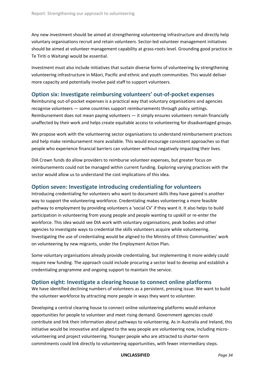Any new investment should be aimed at strengthening volunteering infrastructure and directly help voluntary organisations recruit and retain volunteers. Sector-led volunteer management initiatives should be aimed at volunteer management capability at grass-roots level. Grounding good practice in Te Tiriti o Waitangi would be essential.

Investment must also include initiatives that sustain diverse forms of volunteering by strengthening volunteering infrastructure in Māori, Pacific and ethnic and youth communities. This would deliver more capacity and potentially involve paid staff to support volunteers.

#### <span id="page-37-0"></span>**Option six: Investigate reimbursing volunteers' out-of-pocket expenses**

Reimbursing out-of-pocket expenses is a practical way that voluntary organisations and agencies recognise volunteers — some countries support reimbursements through policy settings. Reimbursement does not mean paying volunteers — it simply ensures volunteers remain financially unaffected by their work and helps create equitable access to volunteering for disadvantaged groups.

We propose work with the volunteering sector organisations to understand reimbursement practices and help make reimbursement more available. This would encourage consistent approaches so that people who experience financial barriers can volunteer without negatively impacting their lives.

DIA Crown funds do allow providers to reimburse volunteer expenses, but greater focus on reimbursements could not be managed within current funding. Exploring varying practices with the sector would allow us to understand the cost implications of this idea.

#### <span id="page-37-1"></span>**Option seven: Investigate introducing credentialing for volunteers**

Introducing credentialing for volunteers who want to document skills they have gained is another way to support the volunteering workforce. Credentialing makes volunteering a more feasible pathway to employment by providing volunteers a 'social CV' if they want it. It also helps to build participation in volunteering from young people and people wanting to upskill or re-enter the workforce. This idea would see DIA work with voluntary organisations, peak bodies and other agencies to investigate ways to credential the skills volunteers acquire while volunteering. Investigating the use of credentialing would be aligned to the Ministry of Ethnic Communities' work on volunteering by new migrants, under the Employment Action Plan.

Some voluntary organisations already provide credentialing, but implementing it more widely could require new funding. The approach could include procuring a sector lead to develop and establish a credentialing programme and ongoing support to maintain the service.

#### <span id="page-37-2"></span>**Option eight: Investigate a clearing house to connect online platforms**

We have identified declining numbers of volunteers as a persistent, pressing issue. We want to build the volunteer workforce by attracting more people in ways they want to volunteer.

Developing a central clearing house to connect online volunteering platforms would enhance opportunities for people to volunteer and meet rising demand. Government agencies could contribute and link their information about pathways to volunteering. As in Australia and Ireland, this initiative would be innovative and aligned to the way people are volunteering now, including microvolunteering and project volunteering. Younger people who are attracted to shorter-term commitments could link directly to volunteering opportunities, with fewer intermediary steps.

**UNCLASSIFIED** *Page 34*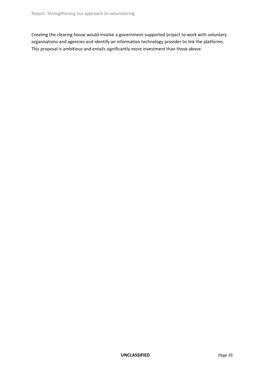Creating the clearing house would involve a government-supported project to work with voluntary organisations and agencies and identify an information technology provider to link the platforms. This proposal is ambitious and entails significantly more investment than those above.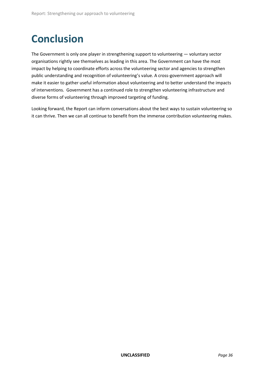# <span id="page-39-0"></span>**Conclusion**

The Government is only one player in strengthening support to volunteering — voluntary sector organisations rightly see themselves as leading in this area. The Government can have the most impact by helping to coordinate efforts across the volunteering sector and agencies to strengthen public understanding and recognition of volunteering's value. A cross-government approach will make it easier to gather useful information about volunteering and to better understand the impacts of interventions. Government has a continued role to strengthen volunteering infrastructure and diverse forms of volunteering through improved targeting of funding.

Looking forward, the Report can inform conversations about the best ways to sustain volunteering so it can thrive. Then we can all continue to benefit from the immense contribution volunteering makes.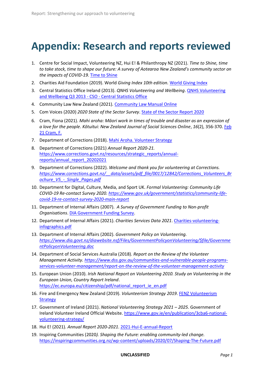## **Appendix: Research and reports reviewed**

- 1. Centre for Social Impact, Volunteering NZ, Hui E! & Philanthropy NZ (2021). *Time to Shine, time to take stock, time to shape our future: A survey of Aotearoa New Zealand's community sector on the impacts of COVID-19.* [Time to Shine](http://www.volunteeringnz.org.nz/wp-content/uploads/Time-to-Shine-_COVID19-Impact-Community-Survey-Report.pdf)
- 2. Charities Aid Foundation (2019). World *Giving Index 10th edition.* [World Giving Index](https://www.cafonline.org/about-us/publications/2019-publications/caf-world-giving-index-10th-edition)
- 3. Central Statistics Office Ireland (2013). *QNHS Volunteering and Wellbeing*[. QNHS Volunteering](https://www.cso.ie/en/releasesandpublications/er/q-vwb/qnhsvolunteeringandwellbeingq32013/)  [and Wellbeing Q3 2013 -](https://www.cso.ie/en/releasesandpublications/er/q-vwb/qnhsvolunteeringandwellbeingq32013/) CSO - Central Statistics Office
- 4. Community Law New Zealand (2021). [Community Law Manual Online](https://communitylaw.org.nz/community-law-manual/chapter-20-starting-and-leaving-a-job/when-youre-not-an-employee-differences-between-employees-contractors-and-volunteers/volunteers/#:~:text=The%20word%20%E2%80%9Cvolunteer%E2%80%9D%20isn)
- 5. Com Voices (2020) *2020 State of the Sector Survey*. [State of the Sector Report 2020](https://comvoices.org.nz/wp-content/uploads/2020/11/ComVoices-2020-State-of-the-Sector-Survey.pdf)
- 6. Cram, Fiona (2021). *Mahi aroha: Māori work in times of trouble and disaster as an expression of a love for the people*. *Kōtuitui: New Zealand Journal of Social Sciences Online*, *16*(2), 356-370. [Feb](https://www.buildingbetter.nz/publications/homes_spaces/Cram_Feb2021_maori_work_in_times_of_trouble.pdf)  [21 Cram, F.](https://www.buildingbetter.nz/publications/homes_spaces/Cram_Feb2021_maori_work_in_times_of_trouble.pdf)
- 7. Department of Corrections (2018). [Mahi Aroha. Volunteer Strategy](https://www.corrections.govt.nz/__data/assets/pdf_file/0011/41231/Mahi_Aroha_Volunteer_Strategy_A3.pdf)
- 8. Department of Corrections (2021) *Annual Report 2020-21.* [https://www.corrections.govt.nz/resources/strategic\\_reports/annual](https://www.corrections.govt.nz/resources/strategic_reports/annual-reports/annual_report_20202021)[reports/annual\\_report\\_20202021](https://www.corrections.govt.nz/resources/strategic_reports/annual-reports/annual_report_20202021)
- 9. Department of Corrections (2022). *Welcome and thank you for volunteering at Corrections. [https://www.corrections.govt.nz/\\_\\_data/assets/pdf\\_file/0017/12842/Corrections\\_Volunteers\\_Br](https://www.corrections.govt.nz/__data/assets/pdf_file/0017/12842/Corrections_Volunteers_Brochure_V5_-_Single_Pages.pdf) [ochure\\_V5\\_-\\_Single\\_Pages.pdf](https://www.corrections.govt.nz/__data/assets/pdf_file/0017/12842/Corrections_Volunteers_Brochure_V5_-_Single_Pages.pdf)*
- 10. Department for Digital, Culture, Media, and Sport UK. *Formal Volunteering: Community Life COVID-19 Re-contact Survey 2020[. https://www.gov.uk/government/statistics/community-life](https://www.gov.uk/government/statistics/community-life-covid-19-re-contact-survey-2020-main-report)[covid-19-re-contact-survey-2020-main-report](https://www.gov.uk/government/statistics/community-life-covid-19-re-contact-survey-2020-main-report)*
- 11. Department of Internal Affairs (2007). *A Survey of Government Funding to Non-profit Organisations*[. DIA Government Funding Survey.](https://www.dia.govt.nz/pubforms.nsf/URL/NPO_Government_Funding_Survey.pdf/$file/NPO_Government_Funding_Survey.pdf)
- 12. Department of Internal Affairs (2021). *Charities Services Data 2021*. [Charities-volunteering](https://www.charities.govt.nz/assets/Charities-volunteering-infographics.pdf)[infographics.pdf](https://www.charities.govt.nz/assets/Charities-volunteering-infographics.pdf)
- 13. Department of Internal Affairs (2002). *Government Policy on Volunteering. [https://www.dia.govt.nz/diawebsite.nsf/Files/GovernmentPolicyonVolunteering/\\$file/Governme](https://www.dia.govt.nz/diawebsite.nsf/Files/GovernmentPolicyonVolunteering/$file/GovernmentPolicyonVolunteering.doc) [ntPolicyonVolunteering.doc](https://www.dia.govt.nz/diawebsite.nsf/Files/GovernmentPolicyonVolunteering/$file/GovernmentPolicyonVolunteering.doc)*
- 14. Department of Social Services Australia (2018). *Report on the Review of the Volunteer Management Activity[. https://www.dss.gov.au/communities-and-vulnerable-people-programs](https://www.dss.gov.au/communities-and-vulnerable-people-programs-services-volunteer-management/report-on-the-review-of-the-volunteer-management-activity)[services-volunteer-management/report-on-the-review-of-the-volunteer-management-activity](https://www.dss.gov.au/communities-and-vulnerable-people-programs-services-volunteer-management/report-on-the-review-of-the-volunteer-management-activity)*
- 15. European Union (2010). *Irish National Report on Volunteering 2010. Study on Volunteering in the European Union, Country Report Ireland*. [https://ec.europa.eu/citizenship/pdf/national\\_report\\_ie\\_en.pdf](https://ec.europa.eu/citizenship/pdf/national_report_ie_en.pdf)
- 16. Fire and Emergency New Zealand (2019). *Volunteerism Strategy 2019*. FENZ [Volunteerism](https://fireandemergency.nz/assets/Documents/About-FENZ/Key-documents/Volunteerism-strategy-2019-2029.pdf)  **[Strategy](https://fireandemergency.nz/assets/Documents/About-FENZ/Key-documents/Volunteerism-strategy-2019-2029.pdf)**
- 17. Government of Ireland (2021). *National Volunteering Strategy 2021 – 2025*. Government of Ireland Volunteer Ireland Official Website. [https://www.gov.ie/en/publication/3cba6-national](https://www.gov.ie/en/publication/3cba6-national-volunteering-strategy/)[volunteering-strategy/](https://www.gov.ie/en/publication/3cba6-national-volunteering-strategy/)
- 18. Hui E! (2021). *Annual Report 2020-2021*. [2021-Hui-E-annual-Report](https://www.huie.org.nz/wp-content/uploads/2021-Hui-E-annual-Report_v4_single-pages-low-res.pdf)
- 19. Inspiring Communities (2020*). Shaping the Future: enabling community-led change.* <https://inspiringcommunities.org.nz/wp-content/uploads/2020/07/Shaping-The-Future.pdf>

#### **UNCLASSIFIED** *Page 1*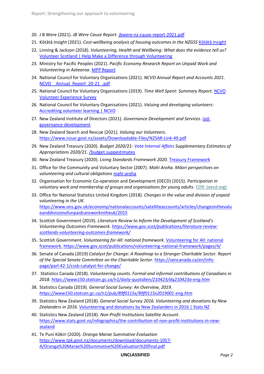- 20. J B Were (2021). *JB Were Cause Report.* [jbwere-nz-cause-report-2021.pdf](https://www.jbwere.co.nz/media/kvqpufmb/jbwere-nz-cause-report-2021.pdf)
- 21. Kōtātā Insight (2021). *Cost-wellbeing analysis of housing outcomes in the NZGSS* [Kōtātā Insight](https://static1.squarespace.com/static/5b1514322714e570448d7945/t/613ead3ff9f0456ba1dd44d6/1631497538794/Housing+wellbeing+valuation_final+paper_2020.pdf)
- 22. Linning & Jackson (2018). *Volunteering, Health and Wellbeing: What does the evidence tell us?* [Volunteer Scotland | Help Make a Difference through Volunteering](https://www.volunteerscotland.net/for-organisations/research-and-evaluation/publications/volunteering-health-wellbeing/)
- 23. Ministry for Pacific Peoples (2021). *Pacific Economy Research Report on Unpaid Work and Volunteering in Aotearoa*[. MPP Report](https://www.mpp.govt.nz/news-and-media/research-shows-significant-pacific-contribution-to-volunteering/)
- 24. National Council for Voluntary Organisations (2021). *NCVO Annual Report and Accounts 2021*. [NCVO\\_\\_Annual\\_Report\\_20-21\\_.pdf](https://www.ncvo.org.uk/images/AGM_2021/NCVO__Annual_Report_20-21_.pdf)
- 25. National Council for Voluntary Organisations (2019). *Time Well Spent: Summary Report.* [NCVO](https://dia.cohesion.net.nz/Sites/CMT/VOL/PLI/VOL/_layouts/15/WopiFrame.aspx?sourcedoc=%7bf4295633-9414-4fba-b78d-edd2a3f50b0d%7d&action=default)  [Volunteer Experience Survey](https://dia.cohesion.net.nz/Sites/CMT/VOL/PLI/VOL/_layouts/15/WopiFrame.aspx?sourcedoc=%7bf4295633-9414-4fba-b78d-edd2a3f50b0d%7d&action=default)
- 26. National Council for Voluntary Organisations (2021). *Valuing and developing volunteers*: [Accrediting volunteer learning | NCVO](https://beta.ncvo.org.uk/help-and-guidance/involving-volunteers/valuing-and-developing-volunteers/accrediting-volunteer-learning/)
- 27. New Zealand Institute of Directors (2021). *Governance Development and Services*. [iod](https://www.iod.org.nz/nfp/governance-development/)[governance-development](https://www.iod.org.nz/nfp/governance-development/)
- 28. New Zealand Search and Rescue (2021). *Valuing our Volunteers*. <https://www.nzsar.govt.nz/assets/Downloadable-Files/NZSAR-Link-49.pdf>
- 29. New Zealand Treasury (2020). *Budget 2020/21- Vote Internal Affairs Supplementary Estimates of Appropriations 2020/21*. [/budget.suppestimates](https://budget.govt.nz/budget/pdfs/suppestimates/suppest21intaff.pdf)
- 30. New Zealand Treasury (2020). *Living Standards Framework 2020.* [Treasury Framework](https://www.treasury.govt.nz/information-and-services/nz-economy/higher-living-standards/our-living-standards-framework)
- 31. Office for the Community and Voluntary Sector (2007). *Mahi Aroha. Māori perspectives on volunteering and cultural obligations* [mahi-aroha](https://www.volunteeringnz.org.nz/wp-content/uploads/mahi-aroha1.pdf)
- 32. Organisation for Economic Co-operation and Development (OECD) (2015). *Participation in voluntary work and membership of groups and organisations for young adults.* [CO9: \(oecd.org\)](https://www.oecd.org/els/family/CO4.1-Participation-voluntary-work.pdf)
- 33. Office for National Statistics United Kingdom (2018). *Changes in the value and division of unpaid volunteering in the UK.*  [https://www.ons.gov.uk/economy/nationalaccounts/satelliteaccounts/articles/changesinthevalu](https://www.ons.gov.uk/economy/nationalaccounts/satelliteaccounts/articles/changesinthevalueanddivisionofunpaidcareworkintheuk/2015) [eanddivisionofunpaidcareworkintheuk/2015](https://www.ons.gov.uk/economy/nationalaccounts/satelliteaccounts/articles/changesinthevalueanddivisionofunpaidcareworkintheuk/2015)
- 34. Scottish Government (2019). *Literature Review to Inform the Development of Scotland's Volunteering Outcomes Framework[. https://www.gov.scot/publications/literature-review](https://www.gov.scot/publications/literature-review-scotlands-volunteering-outcomes-framework/)[scotlands-volunteering-outcomes-framework/](https://www.gov.scot/publications/literature-review-scotlands-volunteering-outcomes-framework/)*
- 35. Scottish Government. *Volunteering for All: national framework*[. Volunteering for All: national](file://///diskstation/WriteData/Clients/Department%20of%20Internal%20Affairs/DCT/Strengthening%20Our%20Approach%20to%20Volunteering%20report%20April%202022/04%20Edits%20and%20peer%20review/Volunteering%20for%20All:%20national%20framework.)  [framework.](file://///diskstation/WriteData/Clients/Department%20of%20Internal%20Affairs/DCT/Strengthening%20Our%20Approach%20to%20Volunteering%20report%20April%202022/04%20Edits%20and%20peer%20review/Volunteering%20for%20All:%20national%20framework.) <https://www.gov.scot/publications/volunteering-national-framework/pages/4/>
- 36. Senate of Canada (2019) *Catalyst for Change: A Roadmap to a Stronger Charitable Sector. Report of the Special Senate Committee on the Charitable Sector*[. https://sencanada.ca/en/info](https://sencanada.ca/en/info-page/parl-42-1/cssb-catalyst-for-change/)[page/parl-42-1/cssb-catalyst-for-change/](https://sencanada.ca/en/info-page/parl-42-1/cssb-catalyst-for-change/)
- 37. Statistics Canada (2018). *Volunteering counts. Formal and informal contributions of Canadians in 2018.<https://www150.statcan.gc.ca/n1/daily-quotidien/210423/dq210423a-eng.htm>*
- 38. Statistics Canada (2019). *General Social Survey: An Overview, 2019. <https://www150.statcan.gc.ca/n1/pub/89f0115x/89f0115x2019001-eng.htm>*
- 39. Statistics New Zealand (2018). *General Social Survey 2016[. Volunteering and donations by New](https://www.stats.govt.nz/reports/volunteering-and-donations-by-new-zealanders-in-2016)  [Zealanders in 2016.](https://www.stats.govt.nz/reports/volunteering-and-donations-by-new-zealanders-in-2016)* [Volunteering and donations by New Zealanders in 2016 | Stats NZ](https://www.stats.govt.nz/reports/volunteering-and-donations-by-new-zealanders-in-2016)
- 40. Statistics New Zealand (2018). *Non-Profit Institutions Satellite Account*. [https://www.stats.govt.nz/infographics/the-contribution-of-non-profit-institutions-in-new](https://www.stats.govt.nz/infographics/the-contribution-of-non-profit-institutions-in-new-zealand)[zealand](https://www.stats.govt.nz/infographics/the-contribution-of-non-profit-institutions-in-new-zealand)
- 41. Te Puni Kōkiri (2020). *Oranga Marae Summative Evaluation*  [https://www.tpk.govt.nz/documents/download/documents-1057-](https://www.tpk.govt.nz/documents/download/documents-1057-A/Oranga%20Marae%20Summative%20Evaluation%20final.pdf) [A/Oranga%20Marae%20Summative%20Evaluation%20final.pdf](https://www.tpk.govt.nz/documents/download/documents-1057-A/Oranga%20Marae%20Summative%20Evaluation%20final.pdf)

#### **UNCLASSIFIED** *Page 2*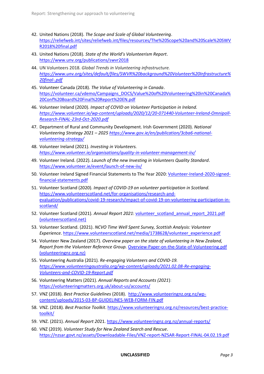- 42. United Nations (2018). *The Scope and Scale of Global Volunteering*. [https://reliefweb.int/sites/reliefweb.int/files/resources/The%20Scope%20and%20Scale%20SWV](https://reliefweb.int/sites/reliefweb.int/files/resources/The%20Scope%20and%20Scale%20SWVR2018%20final.pdf) [R2018%20final.pdf](https://reliefweb.int/sites/reliefweb.int/files/resources/The%20Scope%20and%20Scale%20SWVR2018%20final.pdf)
- 43. United Nations (2018). *State of the World's Volunteerism Report*. <https://www.unv.org/publications/swvr2018>
- 44. UN Volunteers 2018. *Global Trends in Volunteering infrastructure. [https://www.unv.org/sites/default/files/SWVR%20background%20Volunteer%20Infrastructure%](https://www.unv.org/sites/default/files/SWVR%20background%20Volunteer%20Infrastructure%20final-.pdf) [20final-.pdf](https://www.unv.org/sites/default/files/SWVR%20background%20Volunteer%20Infrastructure%20final-.pdf)*
- 45. Volunteer Canada (2018). *The Value of Volunteering in Canada*. [https://volunteer.ca/vdemo/Campaigns\\_DOCS/Value%20of%20Volunteering%20in%20Canada%](https://volunteer.ca/vdemo/Campaigns_DOCS/Value%20of%20Volunteering%20in%20Canada%20Conf%20Board%20Final%20Report%20EN.pdf) [20Conf%20Board%20Final%20Report%20EN.pdf](https://volunteer.ca/vdemo/Campaigns_DOCS/Value%20of%20Volunteering%20in%20Canada%20Conf%20Board%20Final%20Report%20EN.pdf)
- 46. Volunteer Ireland (2020). *Impact of COVID on Volunteer Participation in Ireland. [https://www.volunteer.ie/wp-content/uploads/2020/12/20-071440-Volunteer-Ireland-Omnipoll-](https://www.volunteer.ie/wp-content/uploads/2020/12/20-071440-Volunteer-Ireland-Omnipoll-Research-FINAL-23rd-Oct-2020.pdf)[Research-FINAL-23rd-Oct-2020.pdf](https://www.volunteer.ie/wp-content/uploads/2020/12/20-071440-Volunteer-Ireland-Omnipoll-Research-FINAL-23rd-Oct-2020.pdf)*
- 47. Department of Rural and Community Development. Irish Government (2020). *National Volunteering Strategy 2021 – 2025 [https://www.gov.ie/en/publication/3cba6-national](https://www.gov.ie/en/publication/3cba6-national-volunteering-strategy/)[volunteering-strategy/](https://www.gov.ie/en/publication/3cba6-national-volunteering-strategy/)*
- 48. Volunteer Ireland (2021). *Investing in Volunteers. <https://www.volunteer.ie/organisations/quality-in-volunteer-management-iiv/>*
- 49. Volunteer Ireland. (2022). *Launch of the new Investing in Volunteers Quality Standard*. <https://www.volunteer.ie/event/launch-of-new-iiv/>
- 50. Volunteer Ireland Signed Financial Statements to The Year 2020: [Volunteer-Ireland-2020-signed](https://www.volunteer.ie/wp-content/uploads/2021/06/Volunteer-Ireland-2020-signed-financial-statements.pdf)[financial-statements.pdf](https://www.volunteer.ie/wp-content/uploads/2021/06/Volunteer-Ireland-2020-signed-financial-statements.pdf)
- 51. Volunteer Scotland (2020). *Impact of COVID-19 on volunteer participation in Scotland.* [https://www.volunteerscotland.net/for-organisations/research-and](https://www.volunteerscotland.net/for-organisations/research-and-evaluation/publications/covid-19-research/impact-of-covid-19-on-volunteering-participation-in-scotland/)[evaluation/publications/covid-19-research/impact-of-covid-19-on-volunteering-participation-in](https://www.volunteerscotland.net/for-organisations/research-and-evaluation/publications/covid-19-research/impact-of-covid-19-on-volunteering-participation-in-scotland/)[scotland/](https://www.volunteerscotland.net/for-organisations/research-and-evaluation/publications/covid-19-research/impact-of-covid-19-on-volunteering-participation-in-scotland/)
- 52. Volunteer Scotland (2021). *Annual Report 2021*[: volunteer\\_scotland\\_annual\\_report\\_2021.pdf](https://www.volunteerscotland.net/media/1752011/volunteer_scotland_annual_report_2021.pdf)  [\(volunteerscotland.net\)](https://www.volunteerscotland.net/media/1752011/volunteer_scotland_annual_report_2021.pdf)
- 53. Volunteer Scotland. (2021). *NCVO Time Well Spent Survey, Scottish Analysis: Volunteer Experience*. [https://www.volunteerscotland.net/media/1738628/volunteer\\_experience.pdf](https://www.volunteerscotland.net/media/1738628/volunteer_experience.pdf)
- 54. Volunteer New Zealand (2017). *Overview paper on the state of volunteering in New Zealand, Report from the Volunteer Reference Group.* [Overview-Paper-on-the-State-of-Volunteering.pdf](http://www.volunteeringnz.org.nz/wp-content/uploads/Overview-Paper-on-the-State-of-Volunteering.pdf)  [\(volunteeringnz.org.nz\)](http://www.volunteeringnz.org.nz/wp-content/uploads/Overview-Paper-on-the-State-of-Volunteering.pdf)
- 55. Volunteering Australia (2021)*. Re-engaging Volunteers and COVID-19. [https://www.volunteeringaustralia.org/wp-content/uploads/2021.02.08-Re-engaging-](https://www.volunteeringaustralia.org/wp-content/uploads/2021.02.08-Re-engaging-Volunteers-and-COVID-19-Report.pdf)[Volunteers-and-COVID-19-Report.pdf](https://www.volunteeringaustralia.org/wp-content/uploads/2021.02.08-Re-engaging-Volunteers-and-COVID-19-Report.pdf)*
- 56. Volunteering Matters (2021). *Annual Reports and Accounts (2021*): <https://volunteeringmatters.org.uk/about-us/accounts/>
- 57. VNZ (2018). *Best Practice Guidelines* (2018). [http://www.volunteeringnz.org.nz/wp](http://www.volunteeringnz.org.nz/wp-content/uploads/2015-03-BP-GUIDELINES-WEB-FORM-FIN.pdf)[content/uploads/2015-03-BP-GUIDELINES-WEB-FORM-FIN.pdf](http://www.volunteeringnz.org.nz/wp-content/uploads/2015-03-BP-GUIDELINES-WEB-FORM-FIN.pdf)
- 58. VNZ. (2018). *Best Practice Toolkit*[. https://www.volunteeringnz.org.nz/resources/best-practice](https://www.volunteeringnz.org.nz/resources/best-practice-toolkit/)[toolkit/](https://www.volunteeringnz.org.nz/resources/best-practice-toolkit/)
- 59. VNZ. (2021). *Annual Report 20*21.<https://www.volunteeringnz.org.nz/annual-reports/>
- 60. VNZ (2019). *Volunteer Study for New Zealand Search and Rescue*. <https://nzsar.govt.nz/assets/Downloadable-Files/VNZ-report-NZSAR-Report-FINAL-04.02.19.pdf>